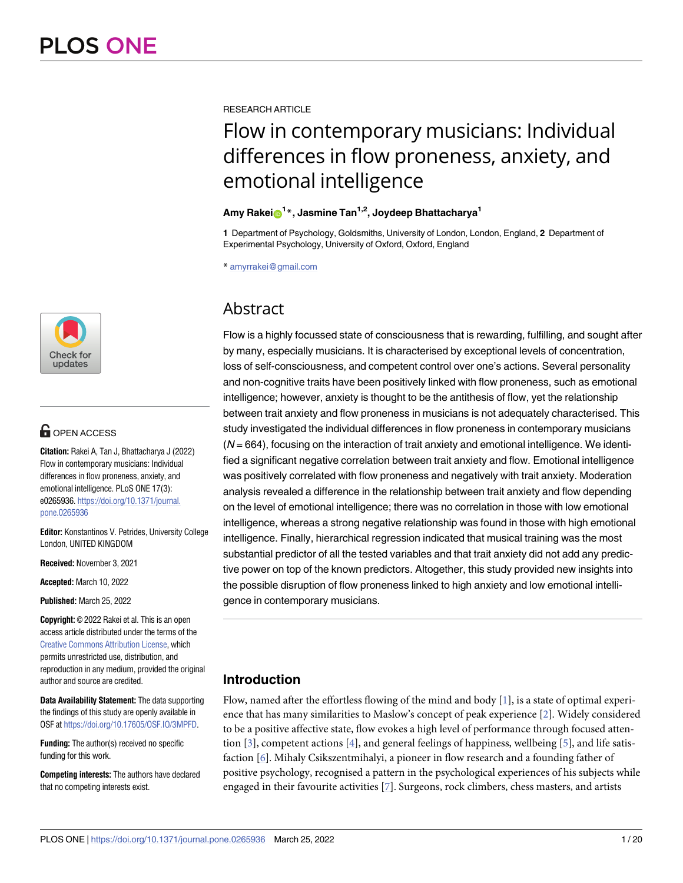

## **OPEN ACCESS**

**Citation:** Rakei A, Tan J, Bhattacharya J (2022) Flow in contemporary musicians: Individual differences in flow proneness, anxiety, and emotional intelligence. PLoS ONE 17(3): e0265936. [https://doi.org/10.1371/journal.](https://doi.org/10.1371/journal.pone.0265936) [pone.0265936](https://doi.org/10.1371/journal.pone.0265936)

**Editor:** Konstantinos V. Petrides, University College London, UNITED KINGDOM

**Received:** November 3, 2021

**Accepted:** March 10, 2022

**Published:** March 25, 2022

**Copyright:** © 2022 Rakei et al. This is an open access article distributed under the terms of the Creative Commons [Attribution](http://creativecommons.org/licenses/by/4.0/) License, which permits unrestricted use, distribution, and reproduction in any medium, provided the original author and source are credited.

**Data Availability Statement:** The data supporting the findings of this study are openly available in OSF at <https://doi.org/10.17605/OSF.IO/3MPFD>.

**Funding:** The author(s) received no specific funding for this work.

**Competing interests:** The authors have declared that no competing interests exist.

<span id="page-0-0"></span>RESEARCH ARTICLE

# Flow in contemporary musicians: Individual differences in flow proneness, anxiety, and emotional intelligence

## $\mathsf{A}$ my  $\mathsf{Ratei}_\mathbf{0}^{-1}$ \*, Jasmine  $\mathsf{Tan}^{1,2}$ , Joydeep Bhattacharya<sup>1</sup>

**1** Department of Psychology, Goldsmiths, University of London, London, England, **2** Department of Experimental Psychology, University of Oxford, Oxford, England

\* amyrrakei@gmail.com

## Abstract

Flow is a highly focussed state of consciousness that is rewarding, fulfilling, and sought after by many, especially musicians. It is characterised by exceptional levels of concentration, loss of self-consciousness, and competent control over one's actions. Several personality and non-cognitive traits have been positively linked with flow proneness, such as emotional intelligence; however, anxiety is thought to be the antithesis of flow, yet the relationship between trait anxiety and flow proneness in musicians is not adequately characterised. This study investigated the individual differences in flow proneness in contemporary musicians  $(N = 664)$ , focusing on the interaction of trait anxiety and emotional intelligence. We identified a significant negative correlation between trait anxiety and flow. Emotional intelligence was positively correlated with flow proneness and negatively with trait anxiety. Moderation analysis revealed a difference in the relationship between trait anxiety and flow depending on the level of emotional intelligence; there was no correlation in those with low emotional intelligence, whereas a strong negative relationship was found in those with high emotional intelligence. Finally, hierarchical regression indicated that musical training was the most substantial predictor of all the tested variables and that trait anxiety did not add any predictive power on top of the known predictors. Altogether, this study provided new insights into the possible disruption of flow proneness linked to high anxiety and low emotional intelligence in contemporary musicians.

## **Introduction**

Flow, named after the effortless flowing of the mind and body  $[1]$  $[1]$  $[1]$ , is a state of optimal experience that has many similarities to Maslow's concept of peak experience [\[2\]](#page-14-0). Widely considered to be a positive affective state, flow evokes a high level of performance through focused attention  $[3]$  $[3]$ , competent actions  $[4]$ , and general feelings of happiness, wellbeing  $[5]$  $[5]$  $[5]$ , and life satisfaction [\[6](#page-15-0)]. Mihaly Csikszentmihalyi, a pioneer in flow research and a founding father of positive psychology, recognised a pattern in the psychological experiences of his subjects while engaged in their favourite activities [\[7\]](#page-15-0). Surgeons, rock climbers, chess masters, and artists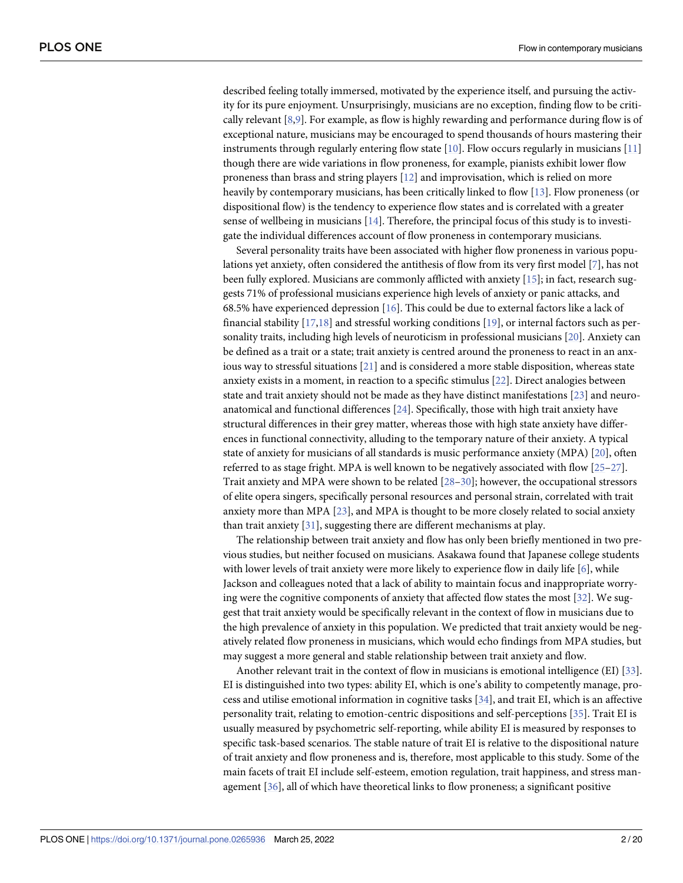<span id="page-1-0"></span>described feeling totally immersed, motivated by the experience itself, and pursuing the activity for its pure enjoyment. Unsurprisingly, musicians are no exception, finding flow to be critically relevant [[8,9\]](#page-15-0). For example, as flow is highly rewarding and performance during flow is of exceptional nature, musicians may be encouraged to spend thousands of hours mastering their instruments through regularly entering flow state [\[10\]](#page-15-0). Flow occurs regularly in musicians [[11](#page-15-0)] though there are wide variations in flow proneness, for example, pianists exhibit lower flow proneness than brass and string players [[12](#page-15-0)] and improvisation, which is relied on more heavily by contemporary musicians, has been critically linked to flow [\[13\]](#page-15-0). Flow proneness (or dispositional flow) is the tendency to experience flow states and is correlated with a greater sense of wellbeing in musicians [[14](#page-15-0)]. Therefore, the principal focus of this study is to investigate the individual differences account of flow proneness in contemporary musicians.

Several personality traits have been associated with higher flow proneness in various populations yet anxiety, often considered the antithesis of flow from its very first model [\[7\]](#page-15-0), has not been fully explored. Musicians are commonly afflicted with anxiety [[15](#page-15-0)]; in fact, research suggests 71% of professional musicians experience high levels of anxiety or panic attacks, and 68.5% have experienced depression [[16](#page-15-0)]. This could be due to external factors like a lack of financial stability [[17,18\]](#page-15-0) and stressful working conditions [\[19\]](#page-15-0), or internal factors such as personality traits, including high levels of neuroticism in professional musicians [\[20\]](#page-15-0). Anxiety can be defined as a trait or a state; trait anxiety is centred around the proneness to react in an anxious way to stressful situations [[21](#page-15-0)] and is considered a more stable disposition, whereas state anxiety exists in a moment, in reaction to a specific stimulus [\[22\]](#page-15-0). Direct analogies between state and trait anxiety should not be made as they have distinct manifestations [[23](#page-15-0)] and neuroanatomical and functional differences [[24](#page-15-0)]. Specifically, those with high trait anxiety have structural differences in their grey matter, whereas those with high state anxiety have differences in functional connectivity, alluding to the temporary nature of their anxiety. A typical state of anxiety for musicians of all standards is music performance anxiety (MPA) [\[20\]](#page-15-0), often referred to as stage fright. MPA is well known to be negatively associated with flow [\[25–27](#page-15-0)]. Trait anxiety and MPA were shown to be related [\[28–30\]](#page-16-0); however, the occupational stressors of elite opera singers, specifically personal resources and personal strain, correlated with trait anxiety more than MPA [[23](#page-15-0)], and MPA is thought to be more closely related to social anxiety than trait anxiety [[31](#page-16-0)], suggesting there are different mechanisms at play.

The relationship between trait anxiety and flow has only been briefly mentioned in two previous studies, but neither focused on musicians. Asakawa found that Japanese college students with lower levels of trait anxiety were more likely to experience flow in daily life [\[6\]](#page-15-0), while Jackson and colleagues noted that a lack of ability to maintain focus and inappropriate worrying were the cognitive components of anxiety that affected flow states the most [\[32\]](#page-16-0). We suggest that trait anxiety would be specifically relevant in the context of flow in musicians due to the high prevalence of anxiety in this population. We predicted that trait anxiety would be negatively related flow proneness in musicians, which would echo findings from MPA studies, but may suggest a more general and stable relationship between trait anxiety and flow.

Another relevant trait in the context of flow in musicians is emotional intelligence (EI) [[33](#page-16-0)]. EI is distinguished into two types: ability EI, which is one's ability to competently manage, process and utilise emotional information in cognitive tasks [[34](#page-16-0)], and trait EI, which is an affective personality trait, relating to emotion-centric dispositions and self-perceptions [[35](#page-16-0)]. Trait EI is usually measured by psychometric self-reporting, while ability EI is measured by responses to specific task-based scenarios. The stable nature of trait EI is relative to the dispositional nature of trait anxiety and flow proneness and is, therefore, most applicable to this study. Some of the main facets of trait EI include self-esteem, emotion regulation, trait happiness, and stress management [[36](#page-16-0)], all of which have theoretical links to flow proneness; a significant positive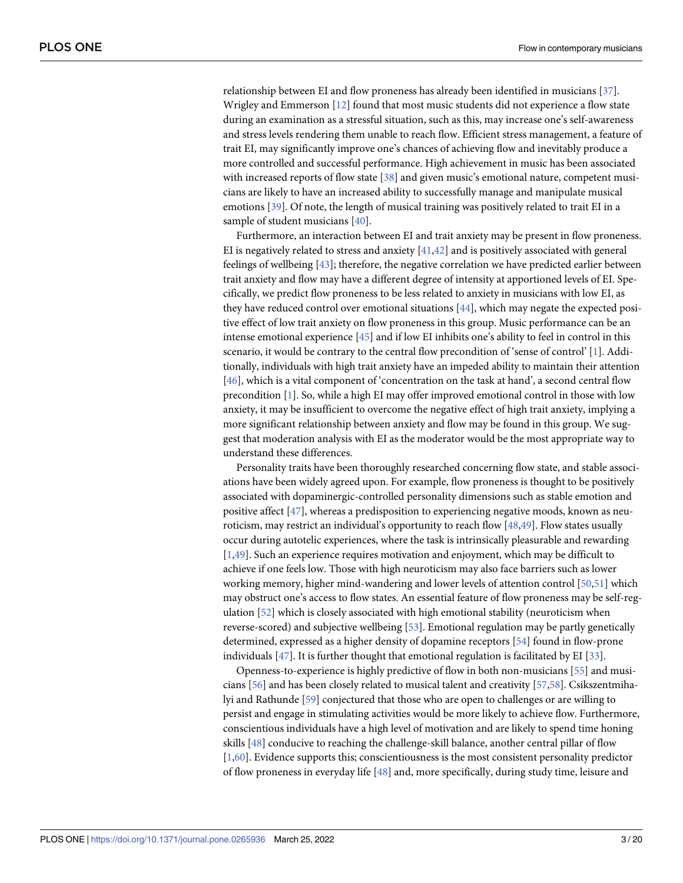<span id="page-2-0"></span>relationship between EI and flow proneness has already been identified in musicians [\[37\]](#page-16-0). Wrigley and Emmerson [\[12\]](#page-15-0) found that most music students did not experience a flow state during an examination as a stressful situation, such as this, may increase one's self-awareness and stress levels rendering them unable to reach flow. Efficient stress management, a feature of trait EI, may significantly improve one's chances of achieving flow and inevitably produce a more controlled and successful performance. High achievement in music has been associated with increased reports of flow state [\[38\]](#page-16-0) and given music's emotional nature, competent musicians are likely to have an increased ability to successfully manage and manipulate musical emotions [[39](#page-16-0)]. Of note, the length of musical training was positively related to trait EI in a sample of student musicians [\[40\]](#page-16-0).

Furthermore, an interaction between EI and trait anxiety may be present in flow proneness. EI is negatively related to stress and anxiety  $[41,42]$  $[41,42]$  and is positively associated with general feelings of wellbeing [\[43\]](#page-16-0); therefore, the negative correlation we have predicted earlier between trait anxiety and flow may have a different degree of intensity at apportioned levels of EI. Specifically, we predict flow proneness to be less related to anxiety in musicians with low EI, as they have reduced control over emotional situations [\[44\]](#page-16-0), which may negate the expected positive effect of low trait anxiety on flow proneness in this group. Music performance can be an intense emotional experience [\[45\]](#page-16-0) and if low EI inhibits one's ability to feel in control in this scenario, it would be contrary to the central flow precondition of 'sense of control' [[1](#page-14-0)]. Additionally, individuals with high trait anxiety have an impeded ability to maintain their attention [\[46\]](#page-16-0), which is a vital component of 'concentration on the task at hand', a second central flow precondition [[1](#page-14-0)]. So, while a high EI may offer improved emotional control in those with low anxiety, it may be insufficient to overcome the negative effect of high trait anxiety, implying a more significant relationship between anxiety and flow may be found in this group. We suggest that moderation analysis with EI as the moderator would be the most appropriate way to understand these differences.

Personality traits have been thoroughly researched concerning flow state, and stable associations have been widely agreed upon. For example, flow proneness is thought to be positively associated with dopaminergic-controlled personality dimensions such as stable emotion and positive affect [\[47\]](#page-16-0), whereas a predisposition to experiencing negative moods, known as neuroticism, may restrict an individual's opportunity to reach flow [\[48,49\]](#page-16-0). Flow states usually occur during autotelic experiences, where the task is intrinsically pleasurable and rewarding [\[1](#page-14-0)[,49\]](#page-16-0). Such an experience requires motivation and enjoyment, which may be difficult to achieve if one feels low. Those with high neuroticism may also face barriers such as lower working memory, higher mind-wandering and lower levels of attention control [[50](#page-16-0),[51](#page-17-0)] which may obstruct one's access to flow states. An essential feature of flow proneness may be self-regulation [[52](#page-17-0)] which is closely associated with high emotional stability (neuroticism when reverse-scored) and subjective wellbeing [\[53\]](#page-17-0). Emotional regulation may be partly genetically determined, expressed as a higher density of dopamine receptors [[54](#page-17-0)] found in flow-prone individuals [[47](#page-16-0)]. It is further thought that emotional regulation is facilitated by EI [\[33\]](#page-16-0).

Openness-to-experience is highly predictive of flow in both non-musicians [[55](#page-17-0)] and musicians [[56](#page-17-0)] and has been closely related to musical talent and creativity [\[57,58](#page-17-0)]. Csikszentmihalyi and Rathunde [[59](#page-17-0)] conjectured that those who are open to challenges or are willing to persist and engage in stimulating activities would be more likely to achieve flow. Furthermore, conscientious individuals have a high level of motivation and are likely to spend time honing skills [\[48\]](#page-16-0) conducive to reaching the challenge-skill balance, another central pillar of flow [\[1](#page-14-0)[,60\]](#page-17-0). Evidence supports this; conscientiousness is the most consistent personality predictor of flow proneness in everyday life [\[48\]](#page-16-0) and, more specifically, during study time, leisure and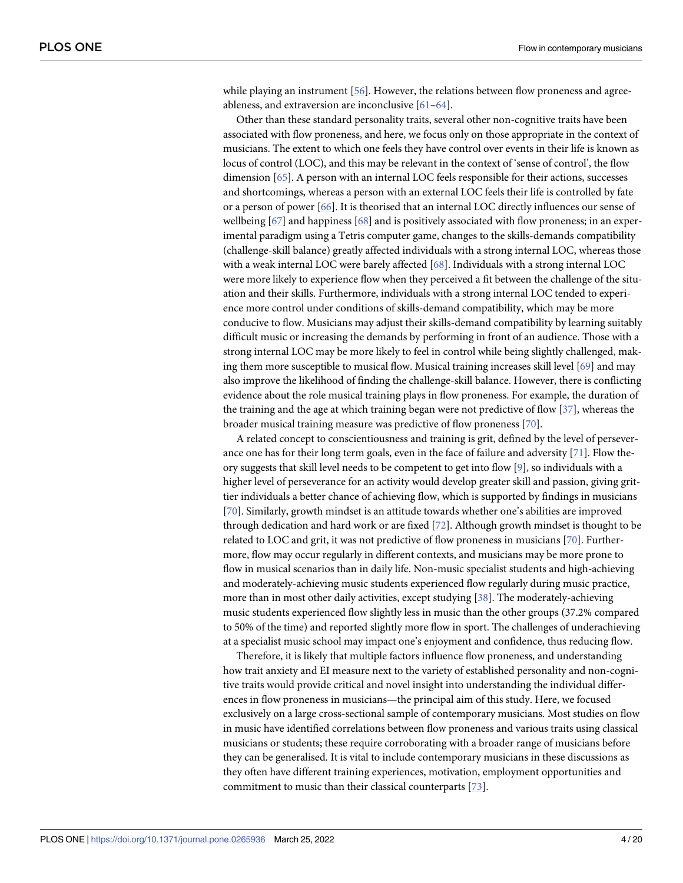<span id="page-3-0"></span>while playing an instrument [\[56\]](#page-17-0). However, the relations between flow proneness and agreeableness, and extraversion are inconclusive [\[61–64\]](#page-17-0).

Other than these standard personality traits, several other non-cognitive traits have been associated with flow proneness, and here, we focus only on those appropriate in the context of musicians. The extent to which one feels they have control over events in their life is known as locus of control (LOC), and this may be relevant in the context of 'sense of control', the flow dimension [\[65\]](#page-17-0). A person with an internal LOC feels responsible for their actions, successes and shortcomings, whereas a person with an external LOC feels their life is controlled by fate or a person of power [[66](#page-17-0)]. It is theorised that an internal LOC directly influences our sense of wellbeing [[67](#page-17-0)] and happiness [[68](#page-17-0)] and is positively associated with flow proneness; in an experimental paradigm using a Tetris computer game, changes to the skills-demands compatibility (challenge-skill balance) greatly affected individuals with a strong internal LOC, whereas those with a weak internal LOC were barely affected [[68](#page-17-0)]. Individuals with a strong internal LOC were more likely to experience flow when they perceived a fit between the challenge of the situation and their skills. Furthermore, individuals with a strong internal LOC tended to experience more control under conditions of skills-demand compatibility, which may be more conducive to flow. Musicians may adjust their skills-demand compatibility by learning suitably difficult music or increasing the demands by performing in front of an audience. Those with a strong internal LOC may be more likely to feel in control while being slightly challenged, making them more susceptible to musical flow. Musical training increases skill level [\[69\]](#page-17-0) and may also improve the likelihood of finding the challenge-skill balance. However, there is conflicting evidence about the role musical training plays in flow proneness. For example, the duration of the training and the age at which training began were not predictive of flow [\[37\]](#page-16-0), whereas the broader musical training measure was predictive of flow proneness [\[70\]](#page-17-0).

A related concept to conscientiousness and training is grit, defined by the level of perseverance one has for their long term goals, even in the face of failure and adversity [\[71\]](#page-17-0). Flow theory suggests that skill level needs to be competent to get into flow [[9\]](#page-15-0), so individuals with a higher level of perseverance for an activity would develop greater skill and passion, giving grittier individuals a better chance of achieving flow, which is supported by findings in musicians [\[70\]](#page-17-0). Similarly, growth mindset is an attitude towards whether one's abilities are improved through dedication and hard work or are fixed [[72](#page-18-0)]. Although growth mindset is thought to be related to LOC and grit, it was not predictive of flow proneness in musicians [\[70\]](#page-17-0). Furthermore, flow may occur regularly in different contexts, and musicians may be more prone to flow in musical scenarios than in daily life. Non-music specialist students and high-achieving and moderately-achieving music students experienced flow regularly during music practice, more than in most other daily activities, except studying [\[38\]](#page-16-0). The moderately-achieving music students experienced flow slightly less in music than the other groups (37.2% compared to 50% of the time) and reported slightly more flow in sport. The challenges of underachieving at a specialist music school may impact one's enjoyment and confidence, thus reducing flow.

Therefore, it is likely that multiple factors influence flow proneness, and understanding how trait anxiety and EI measure next to the variety of established personality and non-cognitive traits would provide critical and novel insight into understanding the individual differences in flow proneness in musicians—the principal aim of this study. Here, we focused exclusively on a large cross-sectional sample of contemporary musicians. Most studies on flow in music have identified correlations between flow proneness and various traits using classical musicians or students; these require corroborating with a broader range of musicians before they can be generalised. It is vital to include contemporary musicians in these discussions as they often have different training experiences, motivation, employment opportunities and commitment to music than their classical counterparts [[73](#page-18-0)].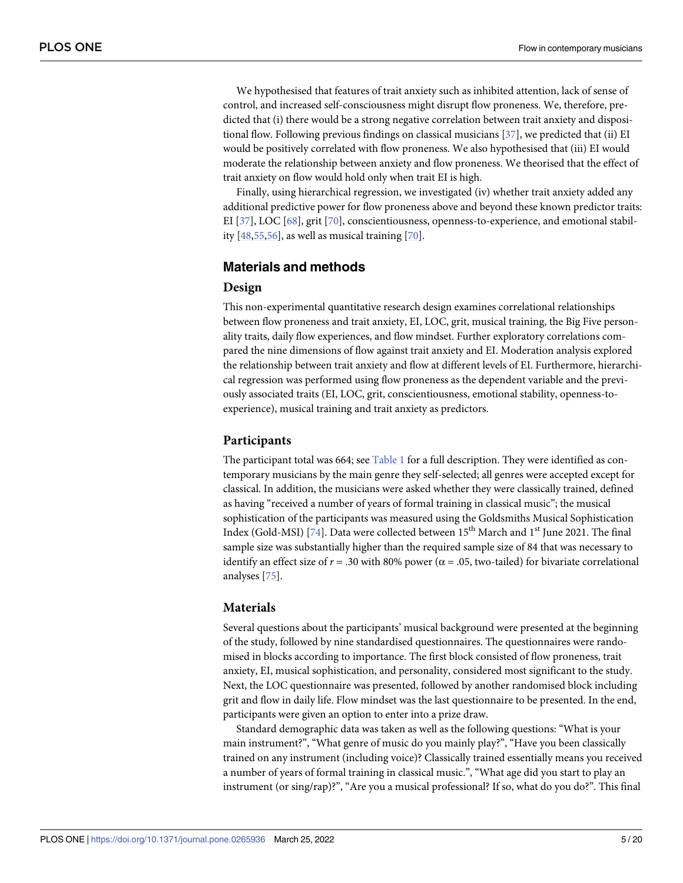<span id="page-4-0"></span>We hypothesised that features of trait anxiety such as inhibited attention, lack of sense of control, and increased self-consciousness might disrupt flow proneness. We, therefore, predicted that (i) there would be a strong negative correlation between trait anxiety and dispositional flow. Following previous findings on classical musicians [\[37\]](#page-16-0), we predicted that (ii) EI would be positively correlated with flow proneness. We also hypothesised that (iii) EI would moderate the relationship between anxiety and flow proneness. We theorised that the effect of trait anxiety on flow would hold only when trait EI is high.

Finally, using hierarchical regression, we investigated (iv) whether trait anxiety added any additional predictive power for flow proneness above and beyond these known predictor traits: EI [[37](#page-16-0)], LOC [\[68\]](#page-17-0), grit [\[70\]](#page-17-0), conscientiousness, openness-to-experience, and emotional stability [[48](#page-16-0),[55,56\]](#page-17-0), as well as musical training [[70](#page-17-0)].

## **Materials and methods**

## **Design**

This non-experimental quantitative research design examines correlational relationships between flow proneness and trait anxiety, EI, LOC, grit, musical training, the Big Five personality traits, daily flow experiences, and flow mindset. Further exploratory correlations compared the nine dimensions of flow against trait anxiety and EI. Moderation analysis explored the relationship between trait anxiety and flow at different levels of EI. Furthermore, hierarchical regression was performed using flow proneness as the dependent variable and the previously associated traits (EI, LOC, grit, conscientiousness, emotional stability, openness-toexperience), musical training and trait anxiety as predictors.

### **Participants**

The participant total was 664; see [Table](#page-5-0) 1 for a full description. They were identified as contemporary musicians by the main genre they self-selected; all genres were accepted except for classical. In addition, the musicians were asked whether they were classically trained, defined as having "received a number of years of formal training in classical music"; the musical sophistication of the participants was measured using the Goldsmiths Musical Sophistication Index (Gold-MSI) [\[74\]](#page-18-0). Data were collected between 15<sup>th</sup> March and 1<sup>st</sup> June 2021. The final sample size was substantially higher than the required sample size of 84 that was necessary to identify an effect size of  $r = .30$  with 80% power ( $\alpha = .05$ , two-tailed) for bivariate correlational analyses [\[75\]](#page-18-0).

#### **Materials**

Several questions about the participants' musical background were presented at the beginning of the study, followed by nine standardised questionnaires. The questionnaires were randomised in blocks according to importance. The first block consisted of flow proneness, trait anxiety, EI, musical sophistication, and personality, considered most significant to the study. Next, the LOC questionnaire was presented, followed by another randomised block including grit and flow in daily life. Flow mindset was the last questionnaire to be presented. In the end, participants were given an option to enter into a prize draw.

Standard demographic data was taken as well as the following questions: "What is your main instrument?", "What genre of music do you mainly play?", "Have you been classically trained on any instrument (including voice)? Classically trained essentially means you received a number of years of formal training in classical music.", "What age did you start to play an instrument (or sing/rap)?", "Are you a musical professional? If so, what do you do?". This final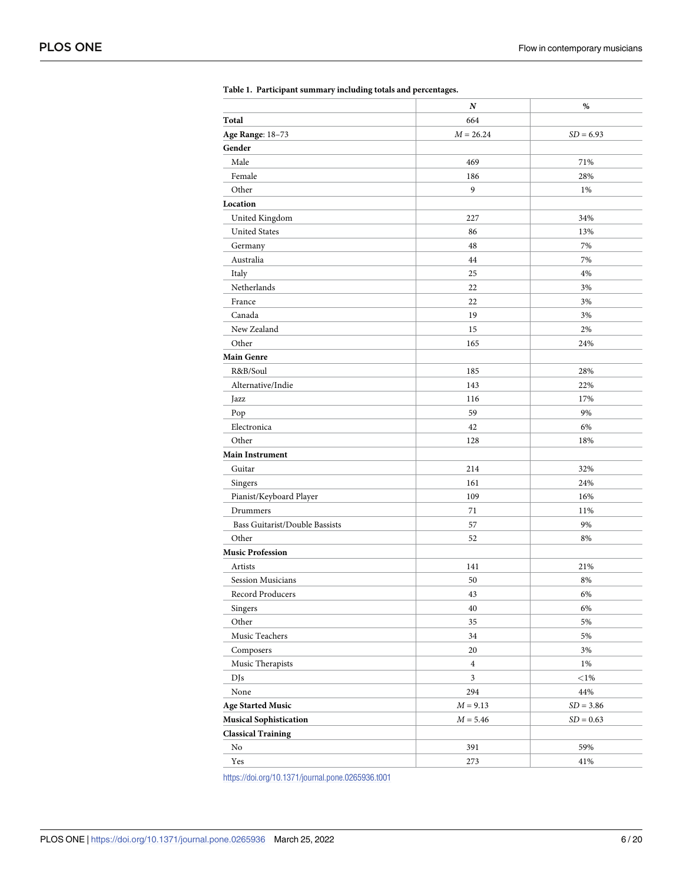<span id="page-5-0"></span>

|                                | N              | $\%$        |
|--------------------------------|----------------|-------------|
| Total                          | 664            |             |
| Age Range: 18-73               | $M = 26.24$    | $SD = 6.93$ |
| Gender                         |                |             |
| Male                           | 469            | 71%         |
| Female                         | 186            | 28%         |
| Other                          | 9              | 1%          |
| Location                       |                |             |
| United Kingdom                 | 227            | 34%         |
| <b>United States</b>           | 86             | 13%         |
| Germany                        | 48             | 7%          |
| Australia                      | 44             | 7%          |
| Italy                          | 25             | 4%          |
| Netherlands                    | 22             | 3%          |
| France                         | 22             | 3%          |
| Canada                         | 19             | 3%          |
| New Zealand                    | 15             | 2%          |
| Other                          | 165            | 24%         |
| <b>Main Genre</b>              |                |             |
| R&B/Soul                       | 185            | 28%         |
| Alternative/Indie              | 143            | 22%         |
| Jazz                           | 116            | 17%         |
| Pop                            | 59             | 9%          |
| Electronica                    | 42             | 6%          |
| Other                          | 128            | 18%         |
| <b>Main Instrument</b>         |                |             |
| Guitar                         | 214            | 32%         |
| Singers                        | 161            | 24%         |
| Pianist/Keyboard Player        | 109            | 16%         |
| Drummers                       | 71             | 11%         |
| Bass Guitarist/Double Bassists | 57             | 9%          |
| Other                          | 52             | 8%          |
| <b>Music Profession</b>        |                |             |
| Artists                        | 141            | 21%         |
| Session Musicians              | 50             | 8%          |
| Record Producers               | 43             | 6%          |
| Singers                        | 40             | $6\%$       |
| Other                          | 35             | 5%          |
| Music Teachers                 | 34             | 5%          |
| Composers                      | 20             | 3%          |
| Music Therapists               | $\overline{4}$ | 1%          |
| DJs                            | $\mathfrak{Z}$ | ${<}1\%$    |
| $\mbox{None}$                  | 294            | 44%         |
| <b>Age Started Music</b>       | $M = 9.13$     | $SD = 3.86$ |
| <b>Musical Sophistication</b>  | $M = 5.46$     | $SD = 0.63$ |
| <b>Classical Training</b>      |                |             |
| No                             | 391            | 59%         |
| Yes                            | 273            | 41%         |
|                                |                |             |

| Table 1. Participant summary including totals and percentages. |  |  |  |  |  |  |
|----------------------------------------------------------------|--|--|--|--|--|--|
|----------------------------------------------------------------|--|--|--|--|--|--|

<https://doi.org/10.1371/journal.pone.0265936.t001>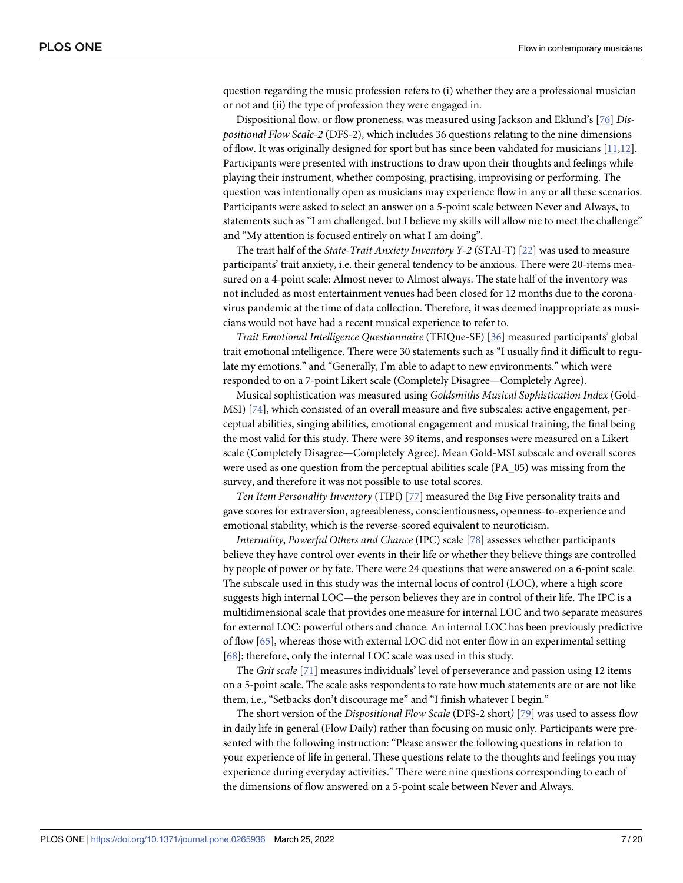<span id="page-6-0"></span>question regarding the music profession refers to (i) whether they are a professional musician or not and (ii) the type of profession they were engaged in.

Dispositional flow, or flow proneness, was measured using Jackson and Eklund's [[76](#page-18-0)] *Dispositional Flow Scale-2* (DFS-2), which includes 36 questions relating to the nine dimensions of flow. It was originally designed for sport but has since been validated for musicians [\[11,12\]](#page-15-0). Participants were presented with instructions to draw upon their thoughts and feelings while playing their instrument, whether composing, practising, improvising or performing. The question was intentionally open as musicians may experience flow in any or all these scenarios. Participants were asked to select an answer on a 5-point scale between Never and Always, to statements such as "I am challenged, but I believe my skills will allow me to meet the challenge" and "My attention is focused entirely on what I am doing".

The trait half of the *State-Trait Anxiety Inventory Y-2* (STAI-T) [\[22\]](#page-15-0) was used to measure participants' trait anxiety, i.e. their general tendency to be anxious. There were 20-items measured on a 4-point scale: Almost never to Almost always. The state half of the inventory was not included as most entertainment venues had been closed for 12 months due to the coronavirus pandemic at the time of data collection. Therefore, it was deemed inappropriate as musicians would not have had a recent musical experience to refer to.

*Trait Emotional Intelligence Questionnaire* (TEIQue-SF) [\[36\]](#page-16-0) measured participants' global trait emotional intelligence. There were 30 statements such as "I usually find it difficult to regulate my emotions." and "Generally, I'm able to adapt to new environments." which were responded to on a 7-point Likert scale (Completely Disagree—Completely Agree).

Musical sophistication was measured using *Goldsmiths Musical Sophistication Index* (Gold-MSI) [\[74\]](#page-18-0), which consisted of an overall measure and five subscales: active engagement, perceptual abilities, singing abilities, emotional engagement and musical training, the final being the most valid for this study. There were 39 items, and responses were measured on a Likert scale (Completely Disagree—Completely Agree). Mean Gold-MSI subscale and overall scores were used as one question from the perceptual abilities scale (PA\_05) was missing from the survey, and therefore it was not possible to use total scores.

*Ten Item Personality Inventory* (TIPI) [[77](#page-18-0)] measured the Big Five personality traits and gave scores for extraversion, agreeableness, conscientiousness, openness-to-experience and emotional stability, which is the reverse-scored equivalent to neuroticism.

*Internality*, *Powerful Others and Chance* (IPC) scale [[78](#page-18-0)] assesses whether participants believe they have control over events in their life or whether they believe things are controlled by people of power or by fate. There were 24 questions that were answered on a 6-point scale. The subscale used in this study was the internal locus of control (LOC), where a high score suggests high internal LOC—the person believes they are in control of their life. The IPC is a multidimensional scale that provides one measure for internal LOC and two separate measures for external LOC: powerful others and chance. An internal LOC has been previously predictive of flow [\[65\]](#page-17-0), whereas those with external LOC did not enter flow in an experimental setting [\[68\]](#page-17-0); therefore, only the internal LOC scale was used in this study.

The *Grit scale* [\[71\]](#page-17-0) measures individuals' level of perseverance and passion using 12 items on a 5-point scale. The scale asks respondents to rate how much statements are or are not like them, i.e., "Setbacks don't discourage me" and "I finish whatever I begin."

The short version of the *Dispositional Flow Scale* (DFS-2 short*)* [[79](#page-18-0)] was used to assess flow in daily life in general (Flow Daily) rather than focusing on music only. Participants were presented with the following instruction: "Please answer the following questions in relation to your experience of life in general. These questions relate to the thoughts and feelings you may experience during everyday activities." There were nine questions corresponding to each of the dimensions of flow answered on a 5-point scale between Never and Always.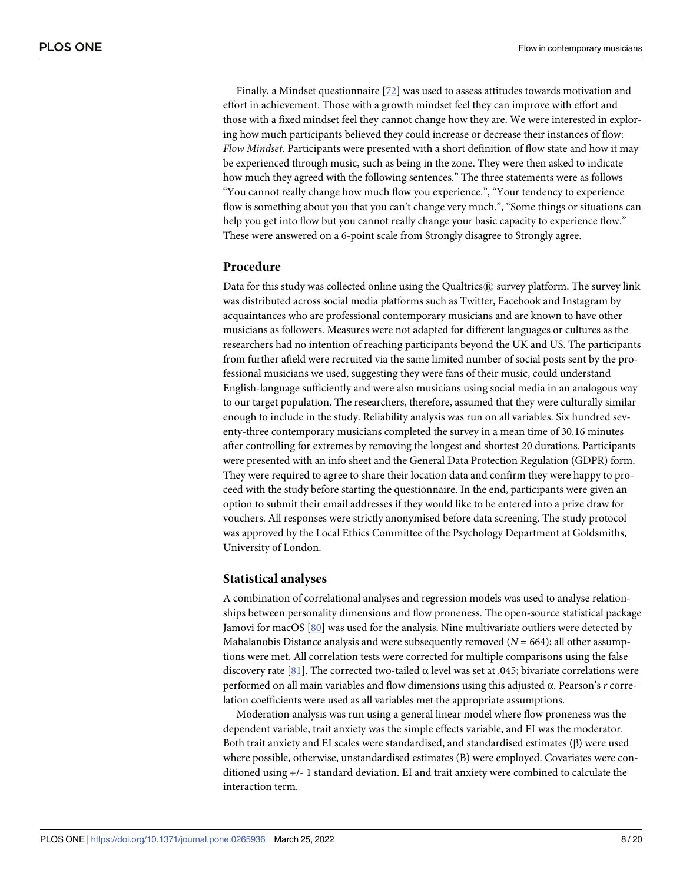<span id="page-7-0"></span>Finally, a Mindset questionnaire [\[72\]](#page-18-0) was used to assess attitudes towards motivation and effort in achievement. Those with a growth mindset feel they can improve with effort and those with a fixed mindset feel they cannot change how they are. We were interested in exploring how much participants believed they could increase or decrease their instances of flow: *Flow Mindset*. Participants were presented with a short definition of flow state and how it may be experienced through music, such as being in the zone. They were then asked to indicate how much they agreed with the following sentences." The three statements were as follows "You cannot really change how much flow you experience.", "Your tendency to experience flow is something about you that you can't change very much.", "Some things or situations can help you get into flow but you cannot really change your basic capacity to experience flow." These were answered on a 6-point scale from Strongly disagree to Strongly agree.

## **Procedure**

Data for this study was collected online using the Qualtrics $\mathcal{R}$  survey platform. The survey link was distributed across social media platforms such as Twitter, Facebook and Instagram by acquaintances who are professional contemporary musicians and are known to have other musicians as followers. Measures were not adapted for different languages or cultures as the researchers had no intention of reaching participants beyond the UK and US. The participants from further afield were recruited via the same limited number of social posts sent by the professional musicians we used, suggesting they were fans of their music, could understand English-language sufficiently and were also musicians using social media in an analogous way to our target population. The researchers, therefore, assumed that they were culturally similar enough to include in the study. Reliability analysis was run on all variables. Six hundred seventy-three contemporary musicians completed the survey in a mean time of 30.16 minutes after controlling for extremes by removing the longest and shortest 20 durations. Participants were presented with an info sheet and the General Data Protection Regulation (GDPR) form. They were required to agree to share their location data and confirm they were happy to proceed with the study before starting the questionnaire. In the end, participants were given an option to submit their email addresses if they would like to be entered into a prize draw for vouchers. All responses were strictly anonymised before data screening. The study protocol was approved by the Local Ethics Committee of the Psychology Department at Goldsmiths, University of London.

#### **Statistical analyses**

A combination of correlational analyses and regression models was used to analyse relationships between personality dimensions and flow proneness. The open-source statistical package Jamovi for macOS [[80](#page-18-0)] was used for the analysis. Nine multivariate outliers were detected by Mahalanobis Distance analysis and were subsequently removed  $(N = 664)$ ; all other assumptions were met. All correlation tests were corrected for multiple comparisons using the false discovery rate [[81](#page-18-0)]. The corrected two-tailed α level was set at .045; bivariate correlations were performed on all main variables and flow dimensions using this adjusted α. Pearson's *r* correlation coefficients were used as all variables met the appropriate assumptions.

Moderation analysis was run using a general linear model where flow proneness was the dependent variable, trait anxiety was the simple effects variable, and EI was the moderator. Both trait anxiety and EI scales were standardised, and standardised estimates (β) were used where possible, otherwise, unstandardised estimates (B) were employed. Covariates were conditioned using +/- 1 standard deviation. EI and trait anxiety were combined to calculate the interaction term.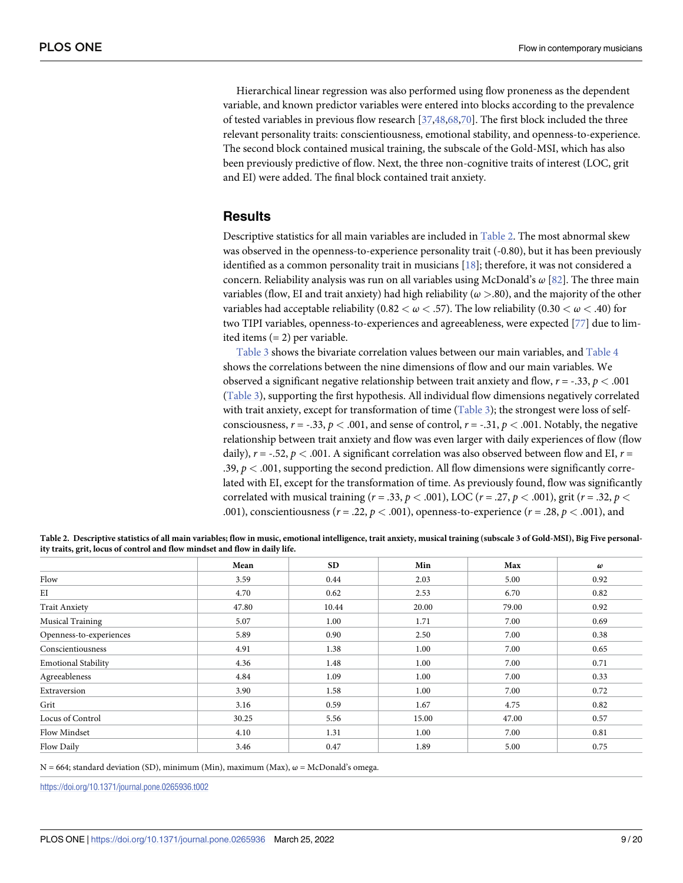<span id="page-8-0"></span>Hierarchical linear regression was also performed using flow proneness as the dependent variable, and known predictor variables were entered into blocks according to the prevalence of tested variables in previous flow research [\[37,48](#page-16-0),[68,70\]](#page-17-0). The first block included the three relevant personality traits: conscientiousness, emotional stability, and openness-to-experience. The second block contained musical training, the subscale of the Gold-MSI, which has also been previously predictive of flow. Next, the three non-cognitive traits of interest (LOC, grit and EI) were added. The final block contained trait anxiety.

## **Results**

Descriptive statistics for all main variables are included in Table 2. The most abnormal skew was observed in the openness-to-experience personality trait (-0.80), but it has been previously identified as a common personality trait in musicians [\[18\]](#page-15-0); therefore, it was not considered a concern. Reliability analysis was run on all variables using McDonald's *ω* [[82](#page-18-0)]. The three main variables (flow, EI and trait anxiety) had high reliability (*ω >*.80), and the majority of the other variables had acceptable reliability  $(0.82 < \omega < .57)$ . The low reliability  $(0.30 < \omega < .40)$  for two TIPI variables, openness-to-experiences and agreeableness, were expected [[77](#page-18-0)] due to limited items (= 2) per variable.

[Table](#page-9-0) 3 shows the bivariate correlation values between our main variables, and [Table](#page-9-0) 4 shows the correlations between the nine dimensions of flow and our main variables. We observed a significant negative relationship between trait anxiety and flow, *r* = -.33, *p <* .001 [\(Table](#page-9-0) 3), supporting the first hypothesis. All individual flow dimensions negatively correlated with trait anxiety, except for transformation of time [\(Table](#page-9-0) 3); the strongest were loss of selfconsciousness,  $r = -.33$ ,  $p < .001$ , and sense of control,  $r = -.31$ ,  $p < .001$ . Notably, the negative relationship between trait anxiety and flow was even larger with daily experiences of flow (flow daily), *r* = -.52, *p <* .001. A significant correlation was also observed between flow and EI, *r* = .39,  $p < .001$ , supporting the second prediction. All flow dimensions were significantly correlated with EI, except for the transformation of time. As previously found, flow was significantly correlated with musical training ( $r = .33$ ,  $p < .001$ ), LOC ( $r = .27$ ,  $p < .001$ ), grit ( $r = .32$ ,  $p < .001$ ) .001), conscientiousness ( $r = .22$ ,  $p < .001$ ), openness-to-experience ( $r = .28$ ,  $p < .001$ ), and

|                            | Mean  | <b>SD</b> | Min   | Max   | $\omega$ |
|----------------------------|-------|-----------|-------|-------|----------|
| Flow                       | 3.59  | 0.44      | 2.03  | 5.00  | 0.92     |
| EI                         | 4.70  | 0.62      | 2.53  | 6.70  | 0.82     |
| <b>Trait Anxiety</b>       | 47.80 | 10.44     | 20.00 | 79.00 | 0.92     |
| <b>Musical Training</b>    | 5.07  | 1.00      | 1.71  | 7.00  | 0.69     |
| Openness-to-experiences    | 5.89  | 0.90      | 2.50  | 7.00  | 0.38     |
| Conscientiousness          | 4.91  | 1.38      | 1.00  | 7.00  | 0.65     |
| <b>Emotional Stability</b> | 4.36  | 1.48      | 1.00  | 7.00  | 0.71     |
| Agreeableness              | 4.84  | 1.09      | 1.00  | 7.00  | 0.33     |
| Extraversion               | 3.90  | 1.58      | 1.00  | 7.00  | 0.72     |
| Grit                       | 3.16  | 0.59      | 1.67  | 4.75  | 0.82     |
| Locus of Control           | 30.25 | 5.56      | 15.00 | 47.00 | 0.57     |
| Flow Mindset               | 4.10  | 1.31      | 1.00  | 7.00  | 0.81     |
| Flow Daily                 | 3.46  | 0.47      | 1.89  | 5.00  | 0.75     |

Table 2. Descriptive statistics of all main variables; flow in music, emotional intelligence, trait anxiety, musical training (subscale 3 of Gold-MSI), Big Five personal**ity traits, grit, locus of control and flow mindset and flow in daily life.**

 $N = 664$ ; standard deviation (SD), minimum (Min), maximum (Max),  $\omega = McDonald's$  omega.

<https://doi.org/10.1371/journal.pone.0265936.t002>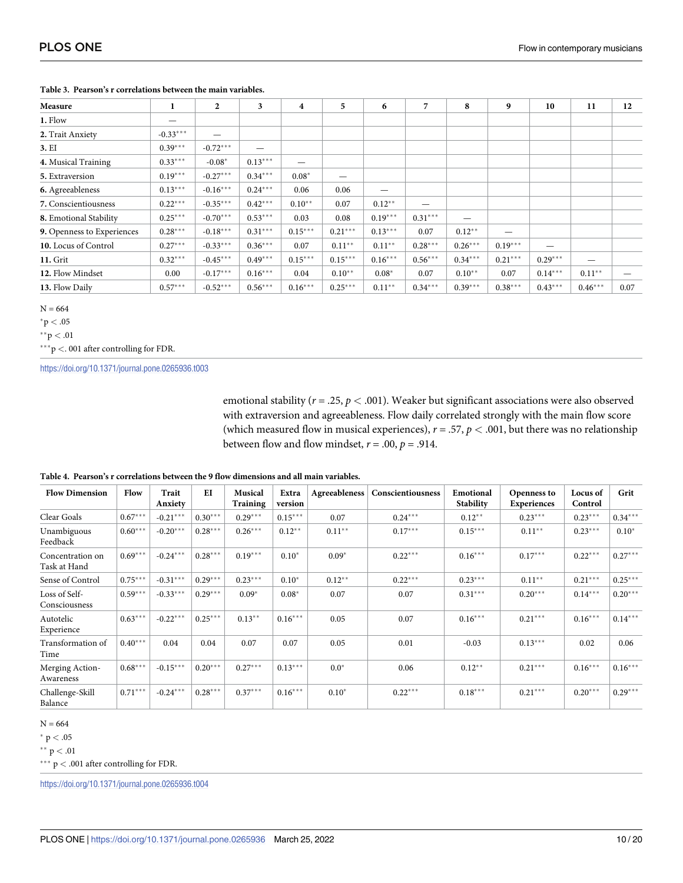| Measure                    | 1          | $\mathbf{2}$ | 3         | 4         | 5         | 6         | 7                 | 8         | 9         | 10        | 11        | 12   |
|----------------------------|------------|--------------|-----------|-----------|-----------|-----------|-------------------|-----------|-----------|-----------|-----------|------|
| 1. Flow                    | –          |              |           |           |           |           |                   |           |           |           |           |      |
| 2. Trait Anxiety           | $-0.33***$ |              |           |           |           |           |                   |           |           |           |           |      |
| 3. EI                      | $0.39***$  | $-0.72***$   | —         |           |           |           |                   |           |           |           |           |      |
| 4. Musical Training        | $0.33***$  | $-0.08*$     | $0.13***$ |           |           |           |                   |           |           |           |           |      |
| 5. Extraversion            | $0.19***$  | $-0.27***$   | $0.34***$ | $0.08*$   |           |           |                   |           |           |           |           |      |
| 6. Agreeableness           | $0.13***$  | $-0.16***$   | $0.24***$ | 0.06      | 0.06      |           |                   |           |           |           |           |      |
| 7. Conscientiousness       | $0.22***$  | $-0.35***$   | $0.42***$ | $0.10**$  | 0.07      | $0.12***$ | $\hspace{0.05cm}$ |           |           |           |           |      |
| 8. Emotional Stability     | $0.25***$  | $-0.70***$   | $0.53***$ | 0.03      | 0.08      | $0.19***$ | $0.31***$         |           |           |           |           |      |
| 9. Openness to Experiences | $0.28***$  | $-0.18***$   | $0.31***$ | $0.15***$ | $0.21***$ | $0.13***$ | 0.07              | $0.12***$ |           |           |           |      |
| 10. Locus of Control       | $0.27***$  | $-0.33***$   | $0.36***$ | 0.07      | $0.11***$ | $0.11***$ | $0.28***$         | $0.26***$ | $0.19***$ | —         |           |      |
| 11. Grit                   | $0.32***$  | $-0.45***$   | $0.49***$ | $0.15***$ | $0.15***$ | $0.16***$ | $0.56***$         | $0.34***$ | $0.21***$ | $0.29***$ |           |      |
| 12. Flow Mindset           | 0.00       | $-0.17***$   | $0.16***$ | 0.04      | $0.10**$  | $0.08*$   | 0.07              | $0.10**$  | 0.07      | $0.14***$ | $0.11***$ |      |
| 13. Flow Daily             | $0.57***$  | $-0.52***$   | $0.56***$ | $0.16***$ | $0.25***$ | $0.11***$ | $0.34***$         | $0.39***$ | $0.38***$ | $0.43***$ | $0.46***$ | 0.07 |

#### <span id="page-9-0"></span>Table 3. Pearson's r correlations between the main variables.

 $N = 664$ 

 ${}^*p < .05$ 

\*\*p < .01

 $^{\ast\ast\ast} {\rm p} < .$  001 after controlling for FDR.

https://doi.org/10.1371/journal.pone.0265936.t003

emotional stability ( $r = .25$ ,  $p < .001$ ). Weaker but significant associations were also observed with extraversion and agreeableness. Flow daily correlated strongly with the main flow score (which measured flow in musical experiences),  $r = .57$ ,  $p < .001$ , but there was no relationship between flow and flow mindset,  $r = .00$ ,  $p = .914$ .

| <b>Flow Dimension</b>            | Flow      | Trait<br>Anxiety | EI        | <b>Musical</b><br>Training | Extra<br>version | Agreeableness | Conscientiousness | Emotional<br><b>Stability</b> | <b>Openness to</b><br><b>Experiences</b> | Locus of<br>Control | Grit      |
|----------------------------------|-----------|------------------|-----------|----------------------------|------------------|---------------|-------------------|-------------------------------|------------------------------------------|---------------------|-----------|
| Clear Goals                      | $0.67***$ | $-0.21***$       | $0.30***$ | $0.29***$                  | $0.15***$        | 0.07          | $0.24***$         | $0.12***$                     | $0.23***$                                | $0.23***$           | $0.34***$ |
| Unambiguous<br>Feedback          | $0.60***$ | $-0.20***$       | $0.28***$ | $0.26***$                  | $0.12***$        | $0.11**$      | $0.17***$         | $0.15***$                     | $0.11***$                                | $0.23***$           | $0.10*$   |
| Concentration on<br>Task at Hand | $0.69***$ | $-0.24***$       | $0.28***$ | $0.19***$                  | $0.10*$          | $0.09*$       | $0.22***$         | $0.16***$                     | $0.17***$                                | $0.22***$           | $0.27***$ |
| Sense of Control                 | $0.75***$ | $-0.31***$       | $0.29***$ | $0.23***$                  | $0.10*$          | $0.12**$      | $0.22***$         | $0.23***$                     | $0.11**$                                 | $0.21***$           | $0.25***$ |
| Loss of Self-<br>Consciousness   | $0.59***$ | $-0.33***$       | $0.29***$ | $0.09*$                    | $0.08*$          | 0.07          | 0.07              | $0.31***$                     | $0.20***$                                | $0.14***$           | $0.20***$ |
| Autotelic<br>Experience          | $0.63***$ | $-0.22***$       | $0.25***$ | $0.13**$                   | $0.16***$        | 0.05          | 0.07              | $0.16***$                     | $0.21***$                                | $0.16***$           | $0.14***$ |
| Transformation of<br>Time        | $0.40***$ | 0.04             | 0.04      | 0.07                       | 0.07             | 0.05          | 0.01              | $-0.03$                       | $0.13***$                                | 0.02                | 0.06      |
| Merging Action-<br>Awareness     | $0.68***$ | $-0.15***$       | $0.20***$ | $0.27***$                  | $0.13***$        | $0.0*$        | 0.06              | $0.12***$                     | $0.21***$                                | $0.16***$           | $0.16***$ |
| Challenge-Skill<br>Balance       | $0.71***$ | $-0.24***$       | $0.28***$ | $0.37***$                  | $0.16***$        | $0.10*$       | $0.22***$         | $0.18***$                     | $0.21***$                                | $0.20***$           | $0.29***$ |

#### Table 4. Pearson's r correlations between the 9 flow dimensions and all main variables.

 $N = 664$ 

 $^*$  p  $< .05$ 

\*\*  $p < .01$ 

 $^{\ast\ast\ast}$  p  $<$  .001 after controlling for FDR.

https://doi.org/10.1371/journal.pone.0265936.t004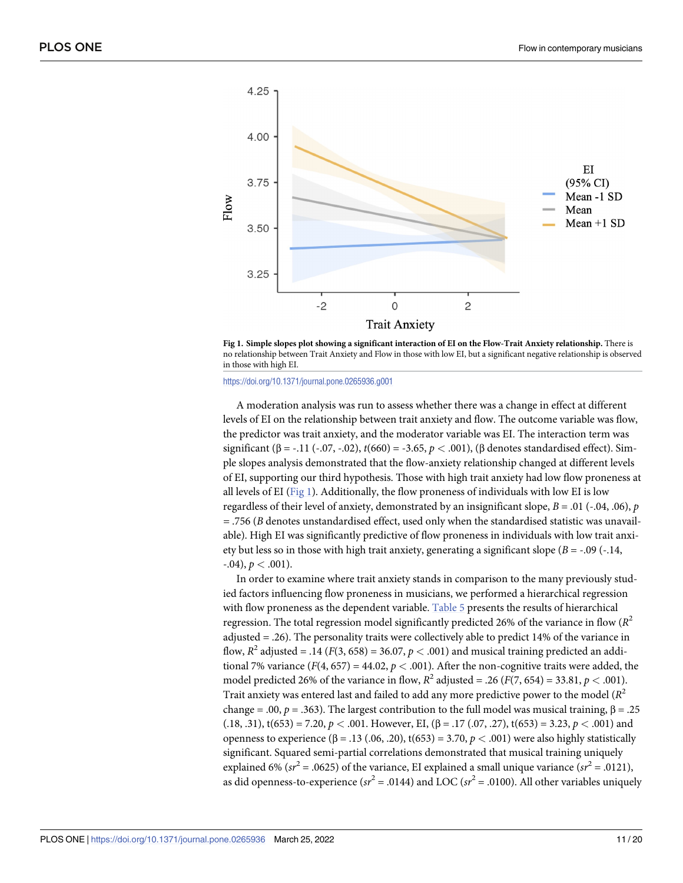<span id="page-10-0"></span>

Fig 1. Simple slopes plot showing a significant interaction of EI on the Flow-Trait Anxiety relationship. There is no relationship between Trait Anxiety and Flow in those with low EI, but a significant negative relationship is observed in those with high EI.

#### <https://doi.org/10.1371/journal.pone.0265936.g001>

A moderation analysis was run to assess whether there was a change in effect at different levels of EI on the relationship between trait anxiety and flow. The outcome variable was flow, the predictor was trait anxiety, and the moderator variable was EI. The interaction term was significant (β = -.11 (-.07, -.02),  $t(660) = -3.65$ ,  $p < .001$ ), (β denotes standardised effect). Simple slopes analysis demonstrated that the flow-anxiety relationship changed at different levels of EI, supporting our third hypothesis. Those with high trait anxiety had low flow proneness at all levels of EI (Fig 1). Additionally, the flow proneness of individuals with low EI is low regardless of their level of anxiety, demonstrated by an insignificant slope,  $B = .01$  ( $-.04, .06$ ),  $p$ *=* .756 (*B* denotes unstandardised effect, used only when the standardised statistic was unavailable). High EI was significantly predictive of flow proneness in individuals with low trait anxiety but less so in those with high trait anxiety, generating a significant slope  $(B = -0.09)$  (-.14,  $-0.04$ ,  $p < 0.001$ ).

In order to examine where trait anxiety stands in comparison to the many previously studied factors influencing flow proneness in musicians, we performed a hierarchical regression with flow proneness as the dependent variable. [Table](#page-11-0) 5 presents the results of hierarchical regression. The total regression model significantly predicted 26% of the variance in flow  $(R^2)$ adjusted = .26). The personality traits were collectively able to predict 14% of the variance in flow,  $R^2$  adjusted = .14 ( $F(3, 658) = 36.07$ ,  $p < .001$ ) and musical training predicted an additional 7% variance  $(F(4, 657) = 44.02, p < .001)$ . After the non-cognitive traits were added, the model predicted 26% of the variance in flow,  $R^2$  adjusted = .26 ( $F(7, 654) = 33.81, p < .001$ ). Trait anxiety was entered last and failed to add any more predictive power to the model (*R*<sup>2</sup> change = .00, *p* = .363). The largest contribution to the full model was musical training,  $β = .25$ (.18, .31),  $t(653) = 7.20$ ,  $p < .001$ . However, EI, ( $\beta = .17$  (.07, .27),  $t(653) = 3.23$ ,  $p < .001$ ) and openness to experience (β = .13 (.06, .20), t(653) = 3.70, *p <* .001) were also highly statistically significant. Squared semi-partial correlations demonstrated that musical training uniquely explained 6% ( $sr^2$  = .0625) of the variance, EI explained a small unique variance ( $sr^2$  = .0121), as did openness-to-experience  $(sr^2 = .0144)$  and LOC  $(sr^2 = .0100)$ . All other variables uniquely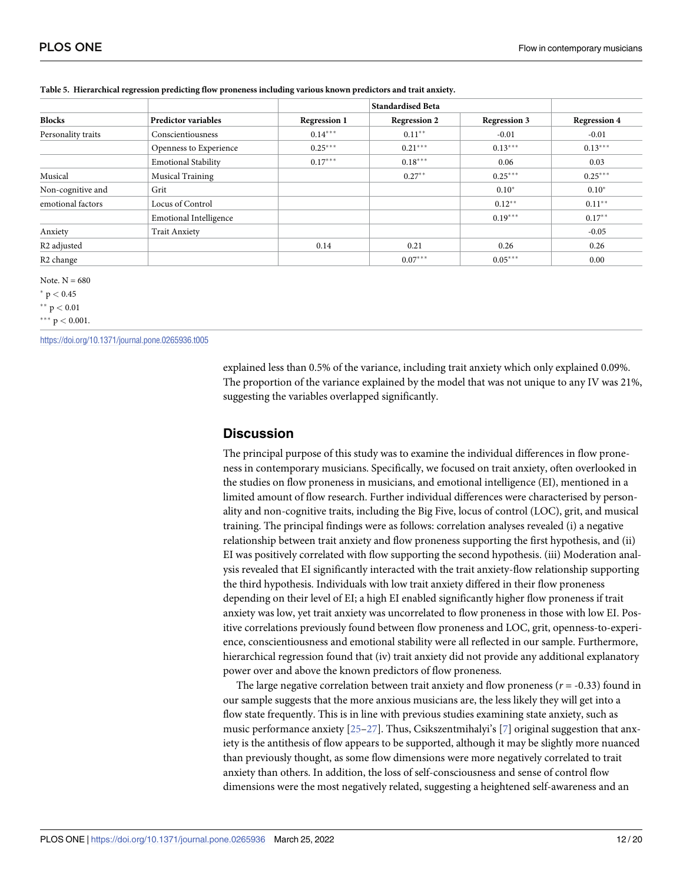|                         |                               |                     | <b>Standardised Beta</b> |                     |                     |
|-------------------------|-------------------------------|---------------------|--------------------------|---------------------|---------------------|
| <b>Blocks</b>           | <b>Predictor variables</b>    | <b>Regression 1</b> | <b>Regression 2</b>      | <b>Regression 3</b> | <b>Regression 4</b> |
| Personality traits      | Conscientiousness             | $0.14***$           | $0.11**$                 | $-0.01$             | $-0.01$             |
|                         | Openness to Experience        | $0.25***$           | $0.21***$                | $0.13***$           | $0.13***$           |
|                         | <b>Emotional Stability</b>    | $0.17***$           | $0.18***$                | 0.06                | 0.03                |
| Musical                 | <b>Musical Training</b>       |                     | $0.27**$                 | $0.25***$           | $0.25***$           |
| Non-cognitive and       | Grit                          |                     |                          | $0.10*$             | $0.10*$             |
| emotional factors       | Locus of Control              |                     |                          | $0.12***$           | $0.11***$           |
|                         | <b>Emotional Intelligence</b> |                     |                          | $0.19***$           | $0.17**$            |
| Anxiety                 | <b>Trait Anxiety</b>          |                     |                          |                     | $-0.05$             |
| R <sub>2</sub> adjusted |                               | 0.14                | 0.21                     | 0.26                | 0.26                |
| R <sub>2</sub> change   |                               |                     | $0.07***$                | $0.05***$           | 0.00                |

#### <span id="page-11-0"></span>**[Table](#page-10-0) 5. Hierarchical regression predicting flow proneness including various known predictors and trait anxiety.**

Note.  $N = 680$ 

 $*$  p  $< 0.45$ 

 $*$ <sup>\*</sup>  $p < 0.01$ 

 $*** p < 0.001$ .

<https://doi.org/10.1371/journal.pone.0265936.t005>

explained less than 0.5% of the variance, including trait anxiety which only explained 0.09%. The proportion of the variance explained by the model that was not unique to any IV was 21%, suggesting the variables overlapped significantly.

### **Discussion**

The principal purpose of this study was to examine the individual differences in flow proneness in contemporary musicians. Specifically, we focused on trait anxiety, often overlooked in the studies on flow proneness in musicians, and emotional intelligence (EI), mentioned in a limited amount of flow research. Further individual differences were characterised by personality and non-cognitive traits, including the Big Five, locus of control (LOC), grit, and musical training. The principal findings were as follows: correlation analyses revealed (i) a negative relationship between trait anxiety and flow proneness supporting the first hypothesis, and (ii) EI was positively correlated with flow supporting the second hypothesis. (iii) Moderation analysis revealed that EI significantly interacted with the trait anxiety-flow relationship supporting the third hypothesis. Individuals with low trait anxiety differed in their flow proneness depending on their level of EI; a high EI enabled significantly higher flow proneness if trait anxiety was low, yet trait anxiety was uncorrelated to flow proneness in those with low EI. Positive correlations previously found between flow proneness and LOC, grit, openness-to-experience, conscientiousness and emotional stability were all reflected in our sample. Furthermore, hierarchical regression found that (iv) trait anxiety did not provide any additional explanatory power over and above the known predictors of flow proneness.

The large negative correlation between trait anxiety and flow proneness  $(r = -0.33)$  found in our sample suggests that the more anxious musicians are, the less likely they will get into a flow state frequently. This is in line with previous studies examining state anxiety, such as music performance anxiety [\[25–27](#page-15-0)]. Thus, Csikszentmihalyi's [[7\]](#page-15-0) original suggestion that anxiety is the antithesis of flow appears to be supported, although it may be slightly more nuanced than previously thought, as some flow dimensions were more negatively correlated to trait anxiety than others. In addition, the loss of self-consciousness and sense of control flow dimensions were the most negatively related, suggesting a heightened self-awareness and an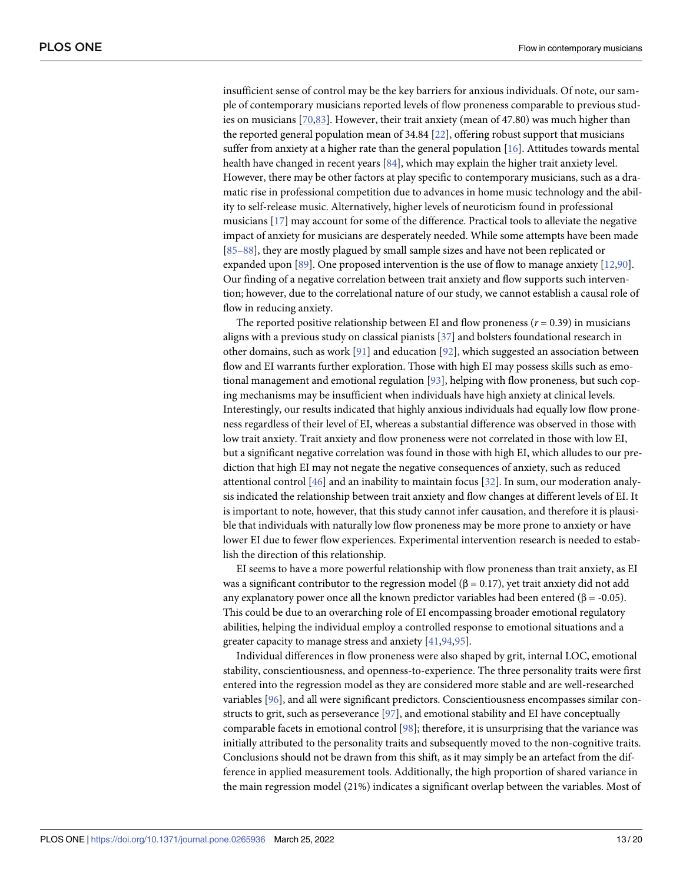<span id="page-12-0"></span>insufficient sense of control may be the key barriers for anxious individuals. Of note, our sample of contemporary musicians reported levels of flow proneness comparable to previous studies on musicians [\[70,](#page-17-0)[83](#page-18-0)]. However, their trait anxiety (mean of 47.80) was much higher than the reported general population mean of 34.84 [\[22\]](#page-15-0), offering robust support that musicians suffer from anxiety at a higher rate than the general population [\[16\]](#page-15-0). Attitudes towards mental health have changed in recent years [[84](#page-18-0)], which may explain the higher trait anxiety level. However, there may be other factors at play specific to contemporary musicians, such as a dramatic rise in professional competition due to advances in home music technology and the ability to self-release music. Alternatively, higher levels of neuroticism found in professional musicians [[17](#page-15-0)] may account for some of the difference. Practical tools to alleviate the negative impact of anxiety for musicians are desperately needed. While some attempts have been made [\[85–88\]](#page-18-0), they are mostly plagued by small sample sizes and have not been replicated or expanded upon [\[89\]](#page-18-0). One proposed intervention is the use of flow to manage anxiety [[12](#page-15-0),[90](#page-18-0)]. Our finding of a negative correlation between trait anxiety and flow supports such intervention; however, due to the correlational nature of our study, we cannot establish a causal role of flow in reducing anxiety.

The reported positive relationship between EI and flow proneness  $(r = 0.39)$  in musicians aligns with a previous study on classical pianists [\[37\]](#page-16-0) and bolsters foundational research in other domains, such as work [[91](#page-18-0)] and education [\[92\]](#page-18-0), which suggested an association between flow and EI warrants further exploration. Those with high EI may possess skills such as emotional management and emotional regulation [\[93\]](#page-18-0), helping with flow proneness, but such coping mechanisms may be insufficient when individuals have high anxiety at clinical levels. Interestingly, our results indicated that highly anxious individuals had equally low flow proneness regardless of their level of EI, whereas a substantial difference was observed in those with low trait anxiety. Trait anxiety and flow proneness were not correlated in those with low EI, but a significant negative correlation was found in those with high EI, which alludes to our prediction that high EI may not negate the negative consequences of anxiety, such as reduced attentional control [[46](#page-16-0)] and an inability to maintain focus [[32](#page-16-0)]. In sum, our moderation analysis indicated the relationship between trait anxiety and flow changes at different levels of EI. It is important to note, however, that this study cannot infer causation, and therefore it is plausible that individuals with naturally low flow proneness may be more prone to anxiety or have lower EI due to fewer flow experiences. Experimental intervention research is needed to establish the direction of this relationship.

EI seems to have a more powerful relationship with flow proneness than trait anxiety, as EI was a significant contributor to the regression model ( $β = 0.17$ ), yet trait anxiety did not add any explanatory power once all the known predictor variables had been entered ( $\beta$  = -0.05). This could be due to an overarching role of EI encompassing broader emotional regulatory abilities, helping the individual employ a controlled response to emotional situations and a greater capacity to manage stress and anxiety [\[41,](#page-16-0)[94,95](#page-18-0)].

Individual differences in flow proneness were also shaped by grit, internal LOC, emotional stability, conscientiousness, and openness-to-experience. The three personality traits were first entered into the regression model as they are considered more stable and are well-researched variables [[96](#page-18-0)], and all were significant predictors. Conscientiousness encompasses similar constructs to grit, such as perseverance [\[97\]](#page-19-0), and emotional stability and EI have conceptually comparable facets in emotional control [\[98\]](#page-19-0); therefore, it is unsurprising that the variance was initially attributed to the personality traits and subsequently moved to the non-cognitive traits. Conclusions should not be drawn from this shift, as it may simply be an artefact from the difference in applied measurement tools. Additionally, the high proportion of shared variance in the main regression model (21%) indicates a significant overlap between the variables. Most of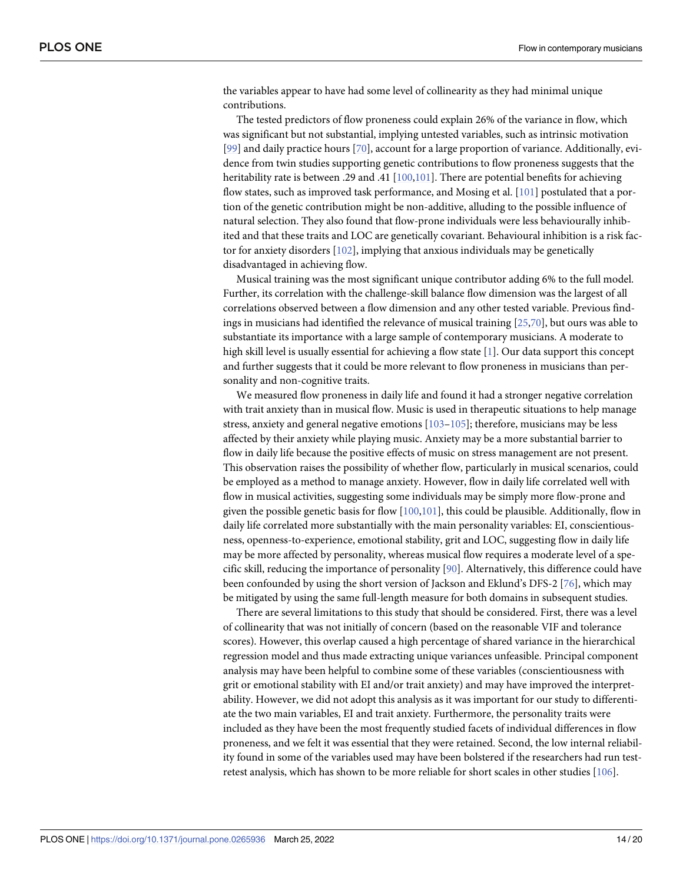<span id="page-13-0"></span>the variables appear to have had some level of collinearity as they had minimal unique contributions.

The tested predictors of flow proneness could explain 26% of the variance in flow, which was significant but not substantial, implying untested variables, such as intrinsic motivation [\[99\]](#page-19-0) and daily practice hours [\[70\]](#page-17-0), account for a large proportion of variance. Additionally, evidence from twin studies supporting genetic contributions to flow proneness suggests that the heritability rate is between .29 and .41 [[100,101](#page-19-0)]. There are potential benefits for achieving flow states, such as improved task performance, and Mosing et al. [\[101\]](#page-19-0) postulated that a portion of the genetic contribution might be non-additive, alluding to the possible influence of natural selection. They also found that flow-prone individuals were less behaviourally inhibited and that these traits and LOC are genetically covariant. Behavioural inhibition is a risk factor for anxiety disorders [[102\]](#page-19-0), implying that anxious individuals may be genetically disadvantaged in achieving flow.

Musical training was the most significant unique contributor adding 6% to the full model. Further, its correlation with the challenge-skill balance flow dimension was the largest of all correlations observed between a flow dimension and any other tested variable. Previous findings in musicians had identified the relevance of musical training [\[25,](#page-15-0)[70](#page-17-0)], but ours was able to substantiate its importance with a large sample of contemporary musicians. A moderate to high skill level is usually essential for achieving a flow state [\[1\]](#page-14-0). Our data support this concept and further suggests that it could be more relevant to flow proneness in musicians than personality and non-cognitive traits.

We measured flow proneness in daily life and found it had a stronger negative correlation with trait anxiety than in musical flow. Music is used in therapeutic situations to help manage stress, anxiety and general negative emotions  $[103-105]$  $[103-105]$  $[103-105]$ ; therefore, musicians may be less affected by their anxiety while playing music. Anxiety may be a more substantial barrier to flow in daily life because the positive effects of music on stress management are not present. This observation raises the possibility of whether flow, particularly in musical scenarios, could be employed as a method to manage anxiety. However, flow in daily life correlated well with flow in musical activities, suggesting some individuals may be simply more flow-prone and given the possible genetic basis for flow [\[100,101](#page-19-0)], this could be plausible. Additionally, flow in daily life correlated more substantially with the main personality variables: EI, conscientiousness, openness-to-experience, emotional stability, grit and LOC, suggesting flow in daily life may be more affected by personality, whereas musical flow requires a moderate level of a specific skill, reducing the importance of personality [\[90\]](#page-18-0). Alternatively, this difference could have been confounded by using the short version of Jackson and Eklund's DFS-2 [[76](#page-18-0)], which may be mitigated by using the same full-length measure for both domains in subsequent studies.

There are several limitations to this study that should be considered. First, there was a level of collinearity that was not initially of concern (based on the reasonable VIF and tolerance scores). However, this overlap caused a high percentage of shared variance in the hierarchical regression model and thus made extracting unique variances unfeasible. Principal component analysis may have been helpful to combine some of these variables (conscientiousness with grit or emotional stability with EI and/or trait anxiety) and may have improved the interpretability. However, we did not adopt this analysis as it was important for our study to differentiate the two main variables, EI and trait anxiety. Furthermore, the personality traits were included as they have been the most frequently studied facets of individual differences in flow proneness, and we felt it was essential that they were retained. Second, the low internal reliability found in some of the variables used may have been bolstered if the researchers had run testretest analysis, which has shown to be more reliable for short scales in other studies [[106](#page-19-0)].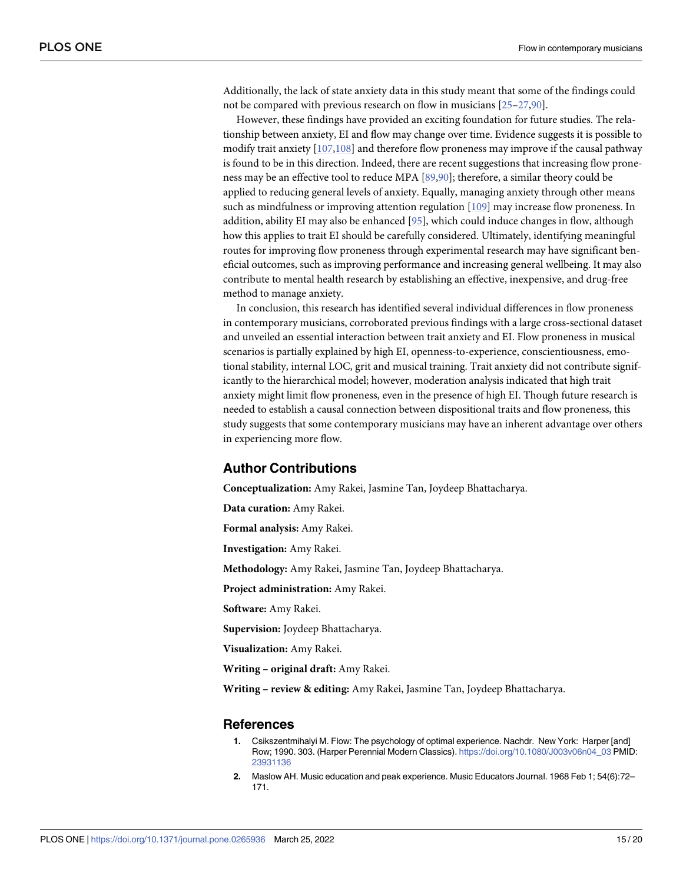<span id="page-14-0"></span>Additionally, the lack of state anxiety data in this study meant that some of the findings could not be compared with previous research on flow in musicians [[25](#page-15-0)–[27](#page-15-0)[,90\]](#page-18-0).

However, these findings have provided an exciting foundation for future studies. The relationship between anxiety, EI and flow may change over time. Evidence suggests it is possible to modify trait anxiety [\[107](#page-19-0),[108\]](#page-19-0) and therefore flow proneness may improve if the causal pathway is found to be in this direction. Indeed, there are recent suggestions that increasing flow proneness may be an effective tool to reduce MPA [\[89,90\]](#page-18-0); therefore, a similar theory could be applied to reducing general levels of anxiety. Equally, managing anxiety through other means such as mindfulness or improving attention regulation [\[109\]](#page-19-0) may increase flow proneness. In addition, ability EI may also be enhanced [\[95\]](#page-18-0), which could induce changes in flow, although how this applies to trait EI should be carefully considered. Ultimately, identifying meaningful routes for improving flow proneness through experimental research may have significant beneficial outcomes, such as improving performance and increasing general wellbeing. It may also contribute to mental health research by establishing an effective, inexpensive, and drug-free method to manage anxiety.

In conclusion, this research has identified several individual differences in flow proneness in contemporary musicians, corroborated previous findings with a large cross-sectional dataset and unveiled an essential interaction between trait anxiety and EI. Flow proneness in musical scenarios is partially explained by high EI, openness-to-experience, conscientiousness, emotional stability, internal LOC, grit and musical training. Trait anxiety did not contribute significantly to the hierarchical model; however, moderation analysis indicated that high trait anxiety might limit flow proneness, even in the presence of high EI. Though future research is needed to establish a causal connection between dispositional traits and flow proneness, this study suggests that some contemporary musicians may have an inherent advantage over others in experiencing more flow.

## **Author Contributions**

**Conceptualization:** Amy Rakei, Jasmine Tan, Joydeep Bhattacharya.

**Data curation:** Amy Rakei.

**Formal analysis:** Amy Rakei.

**Investigation:** Amy Rakei.

**Methodology:** Amy Rakei, Jasmine Tan, Joydeep Bhattacharya.

**Project administration:** Amy Rakei.

**Software:** Amy Rakei.

**Supervision:** Joydeep Bhattacharya.

**Visualization:** Amy Rakei.

**Writing – original draft:** Amy Rakei.

**Writing – review & editing:** Amy Rakei, Jasmine Tan, Joydeep Bhattacharya.

#### **References**

- **[1.](#page-13-0)** Csikszentmihalyi M. Flow: The psychology of optimal experience. Nachdr. New York: Harper [and] Row; 1990. 303. (Harper Perennial Modern Classics). [https://doi.org/10.1080/J003v06n04\\_03](https://doi.org/10.1080/J003v06n04%5F03) PMID: [23931136](http://www.ncbi.nlm.nih.gov/pubmed/23931136)
- **[2.](#page-0-0)** Maslow AH. Music education and peak experience. Music Educators Journal. 1968 Feb 1; 54(6):72– 171.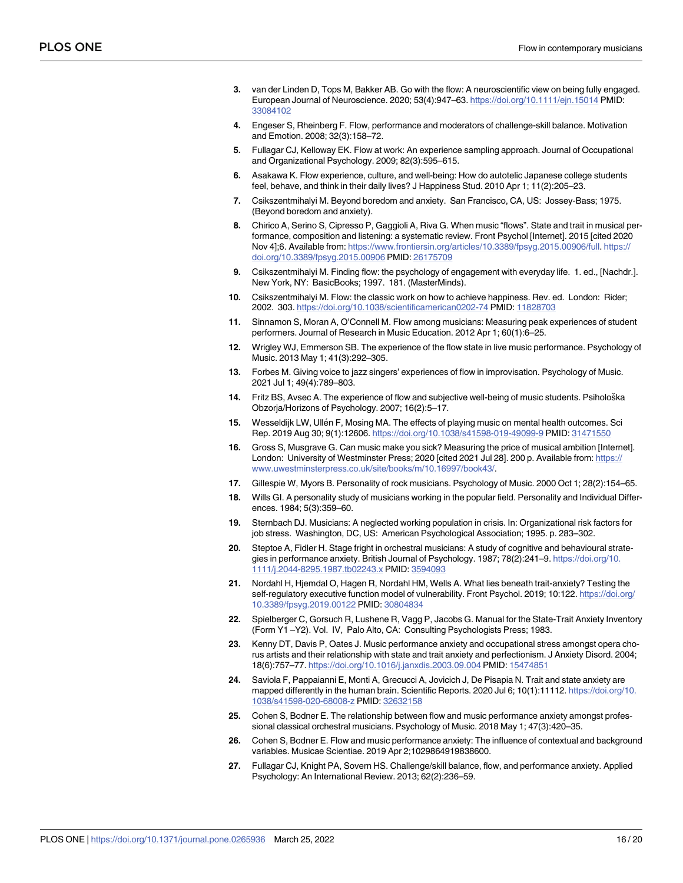- <span id="page-15-0"></span>**[3.](#page-0-0)** van der Linden D, Tops M, Bakker AB. Go with the flow: A neuroscientific view on being fully engaged. European Journal of Neuroscience. 2020; 53(4):947–63. <https://doi.org/10.1111/ejn.15014> PMID: [33084102](http://www.ncbi.nlm.nih.gov/pubmed/33084102)
- **[4.](#page-0-0)** Engeser S, Rheinberg F. Flow, performance and moderators of challenge-skill balance. Motivation and Emotion. 2008; 32(3):158–72.
- **[5.](#page-0-0)** Fullagar CJ, Kelloway EK. Flow at work: An experience sampling approach. Journal of Occupational and Organizational Psychology. 2009; 82(3):595–615.
- **[6.](#page-0-0)** Asakawa K. Flow experience, culture, and well-being: How do autotelic Japanese college students feel, behave, and think in their daily lives? J Happiness Stud. 2010 Apr 1; 11(2):205–23.
- **[7.](#page-1-0)** Csikszentmihalyi M. Beyond boredom and anxiety. San Francisco, CA, US: Jossey-Bass; 1975. (Beyond boredom and anxiety).
- **[8.](#page-1-0)** Chirico A, Serino S, Cipresso P, Gaggioli A, Riva G. When music "flows". State and trait in musical performance, composition and listening: a systematic review. Front Psychol [Internet]. 2015 [cited 2020 Nov 4];6. Available from: [https://www.frontiersin.org/articles/10.3389/fpsyg.2015.00906/full.](https://www.frontiersin.org/articles/10.3389/fpsyg.2015.00906/full) [https://](https://doi.org/10.3389/fpsyg.2015.00906) [doi.org/10.3389/fpsyg.2015.00906](https://doi.org/10.3389/fpsyg.2015.00906) PMID: [26175709](http://www.ncbi.nlm.nih.gov/pubmed/26175709)
- **[9.](#page-3-0)** Csikszentmihalyi M. Finding flow: the psychology of engagement with everyday life. 1. ed., [Nachdr.]. New York, NY: BasicBooks; 1997. 181. (MasterMinds).
- **[10.](#page-1-0)** Csikszentmihalyi M. Flow: the classic work on how to achieve happiness. Rev. ed. London: Rider; 2002. 303. <https://doi.org/10.1038/scientificamerican0202-74> PMID: [11828703](http://www.ncbi.nlm.nih.gov/pubmed/11828703)
- **[11.](#page-6-0)** Sinnamon S, Moran A, O'Connell M. Flow among musicians: Measuring peak experiences of student performers. Journal of Research in Music Education. 2012 Apr 1; 60(1):6–25.
- **[12.](#page-6-0)** Wrigley WJ, Emmerson SB. The experience of the flow state in live music performance. Psychology of Music. 2013 May 1; 41(3):292–305.
- **[13.](#page-1-0)** Forbes M. Giving voice to jazz singers' experiences of flow in improvisation. Psychology of Music. 2021 Jul 1; 49(4):789–803.
- [14.](#page-1-0) Fritz BS, Avsec A. The experience of flow and subjective well-being of music students. Psihološka Obzorja/Horizons of Psychology. 2007; 16(2):5–17.
- [15.](#page-1-0) Wesseldijk LW, Ullén F, Mosing MA. The effects of playing music on mental health outcomes. Sci Rep. 2019 Aug 30; 9(1):12606. <https://doi.org/10.1038/s41598-019-49099-9> PMID: [31471550](http://www.ncbi.nlm.nih.gov/pubmed/31471550)
- **[16.](#page-12-0)** Gross S, Musgrave G. Can music make you sick? Measuring the price of musical ambition [Internet]. London: University of Westminster Press; 2020 [cited 2021 Jul 28]. 200 p. Available from: [https://](https://www.uwestminsterpress.co.uk/site/books/m/10.16997/book43/) [www.uwestminsterpress.co.uk/site/books/m/10.16997/book43/](https://www.uwestminsterpress.co.uk/site/books/m/10.16997/book43/).
- **[17.](#page-1-0)** Gillespie W, Myors B. Personality of rock musicians. Psychology of Music. 2000 Oct 1; 28(2):154–65.
- **[18.](#page-8-0)** Wills GI. A personality study of musicians working in the popular field. Personality and Individual Differences. 1984; 5(3):359–60.
- **[19.](#page-1-0)** Sternbach DJ. Musicians: A neglected working population in crisis. In: Organizational risk factors for job stress. Washington, DC, US: American Psychological Association; 1995. p. 283–302.
- **[20.](#page-1-0)** Steptoe A, Fidler H. Stage fright in orchestral musicians: A study of cognitive and behavioural strategies in performance anxiety. British Journal of Psychology. 1987; 78(2):241-9. [https://doi.org/10.](https://doi.org/10.1111/j.2044-8295.1987.tb02243.x) [1111/j.2044-8295.1987.tb02243.x](https://doi.org/10.1111/j.2044-8295.1987.tb02243.x) PMID: [3594093](http://www.ncbi.nlm.nih.gov/pubmed/3594093)
- **[21.](#page-1-0)** Nordahl H, Hjemdal O, Hagen R, Nordahl HM, Wells A. What lies beneath trait-anxiety? Testing the self-regulatory executive function model of vulnerability. Front Psychol. 2019; 10:122. [https://doi.org/](https://doi.org/10.3389/fpsyg.2019.00122) [10.3389/fpsyg.2019.00122](https://doi.org/10.3389/fpsyg.2019.00122) PMID: [30804834](http://www.ncbi.nlm.nih.gov/pubmed/30804834)
- **[22.](#page-6-0)** Spielberger C, Gorsuch R, Lushene R, Vagg P, Jacobs G. Manual for the State-Trait Anxiety Inventory (Form Y1 –Y2). Vol. IV, Palo Alto, CA: Consulting Psychologists Press; 1983.
- **[23.](#page-1-0)** Kenny DT, Davis P, Oates J. Music performance anxiety and occupational stress amongst opera chorus artists and their relationship with state and trait anxiety and perfectionism. J Anxiety Disord. 2004; 18(6):757–77. <https://doi.org/10.1016/j.janxdis.2003.09.004> PMID: [15474851](http://www.ncbi.nlm.nih.gov/pubmed/15474851)
- **[24.](#page-1-0)** Saviola F, Pappaianni E, Monti A, Grecucci A, Jovicich J, De Pisapia N. Trait and state anxiety are mapped differently in the human brain. Scientific Reports. 2020 Jul 6; 10(1):11112. [https://doi.org/10.](https://doi.org/10.1038/s41598-020-68008-z) [1038/s41598-020-68008-z](https://doi.org/10.1038/s41598-020-68008-z) PMID: [32632158](http://www.ncbi.nlm.nih.gov/pubmed/32632158)
- **[25.](#page-11-0)** Cohen S, Bodner E. The relationship between flow and music performance anxiety amongst professional classical orchestral musicians. Psychology of Music. 2018 May 1; 47(3):420–35.
- **26.** Cohen S, Bodner E. Flow and music performance anxiety: The influence of contextual and background variables. Musicae Scientiae. 2019 Apr 2;1029864919838600.
- **[27.](#page-1-0)** Fullagar CJ, Knight PA, Sovern HS. Challenge/skill balance, flow, and performance anxiety. Applied Psychology: An International Review. 2013; 62(2):236–59.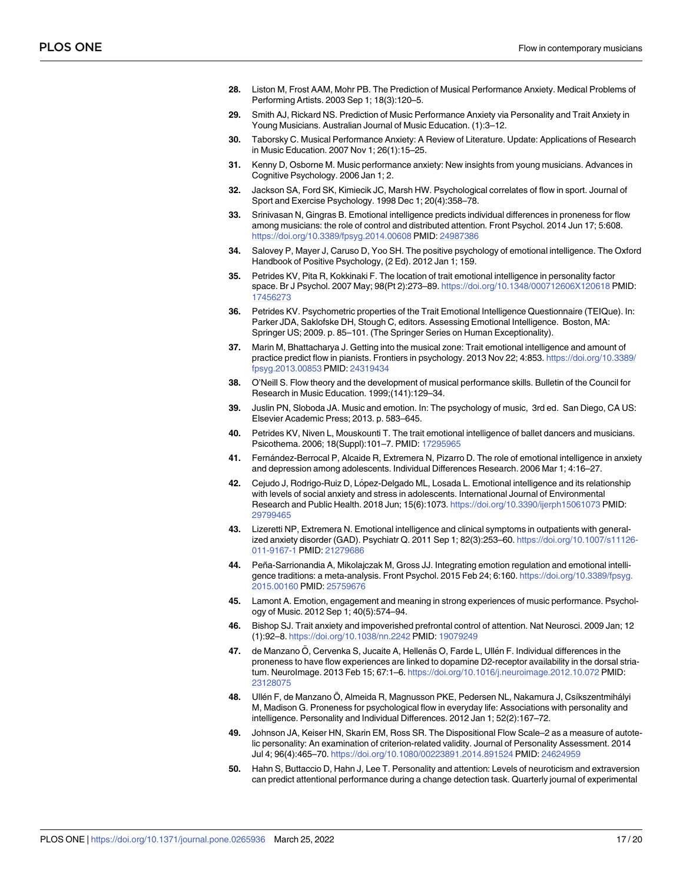- <span id="page-16-0"></span>**[28.](#page-1-0)** Liston M, Frost AAM, Mohr PB. The Prediction of Musical Performance Anxiety. Medical Problems of Performing Artists. 2003 Sep 1; 18(3):120–5.
- **29.** Smith AJ, Rickard NS. Prediction of Music Performance Anxiety via Personality and Trait Anxiety in Young Musicians. Australian Journal of Music Education. (1):3–12.
- **[30.](#page-1-0)** Taborsky C. Musical Performance Anxiety: A Review of Literature. Update: Applications of Research in Music Education. 2007 Nov 1; 26(1):15–25.
- **[31.](#page-1-0)** Kenny D, Osborne M. Music performance anxiety: New insights from young musicians. Advances in Cognitive Psychology. 2006 Jan 1; 2.
- **[32.](#page-12-0)** Jackson SA, Ford SK, Kimiecik JC, Marsh HW. Psychological correlates of flow in sport. Journal of Sport and Exercise Psychology. 1998 Dec 1; 20(4):358–78.
- **[33.](#page-1-0)** Srinivasan N, Gingras B. Emotional intelligence predicts individual differences in proneness for flow among musicians: the role of control and distributed attention. Front Psychol. 2014 Jun 17; 5:608. <https://doi.org/10.3389/fpsyg.2014.00608> PMID: [24987386](http://www.ncbi.nlm.nih.gov/pubmed/24987386)
- **[34.](#page-1-0)** Salovey P, Mayer J, Caruso D, Yoo SH. The positive psychology of emotional intelligence. The Oxford Handbook of Positive Psychology, (2 Ed). 2012 Jan 1; 159.
- **[35.](#page-1-0)** Petrides KV, Pita R, Kokkinaki F. The location of trait emotional intelligence in personality factor space. Br J Psychol. 2007 May; 98(Pt 2):273–89. <https://doi.org/10.1348/000712606X120618> PMID: [17456273](http://www.ncbi.nlm.nih.gov/pubmed/17456273)
- **[36.](#page-6-0)** Petrides KV. Psychometric properties of the Trait Emotional Intelligence Questionnaire (TEIQue). In: Parker JDA, Saklofske DH, Stough C, editors. Assessing Emotional Intelligence. Boston, MA: Springer US; 2009. p. 85–101. (The Springer Series on Human Exceptionality).
- **[37.](#page-3-0)** Marin M, Bhattacharya J. Getting into the musical zone: Trait emotional intelligence and amount of practice predict flow in pianists. Frontiers in psychology. 2013 Nov 22; 4:853. [https://doi.org/10.3389/](https://doi.org/10.3389/fpsyg.2013.00853) [fpsyg.2013.00853](https://doi.org/10.3389/fpsyg.2013.00853) PMID: [24319434](http://www.ncbi.nlm.nih.gov/pubmed/24319434)
- **[38.](#page-3-0)** O'Neill S. Flow theory and the development of musical performance skills. Bulletin of the Council for Research in Music Education. 1999;(141):129–34.
- **[39.](#page-2-0)** Juslin PN, Sloboda JA. Music and emotion. In: The psychology of music, 3rd ed. San Diego, CA US: Elsevier Academic Press; 2013. p. 583–645.
- **[40.](#page-2-0)** Petrides KV, Niven L, Mouskounti T. The trait emotional intelligence of ballet dancers and musicians. Psicothema. 2006; 18(Suppl):101–7. PMID: [17295965](http://www.ncbi.nlm.nih.gov/pubmed/17295965)
- **[41.](#page-12-0)** Fernández-Berrocal P, Alcaide R, Extremera N, Pizarro D. The role of emotional intelligence in anxiety and depression among adolescents. Individual Differences Research. 2006 Mar 1; 4:16–27.
- **[42.](#page-2-0)** Cejudo J, Rodrigo-Ruiz D, López-Delgado ML, Losada L. Emotional intelligence and its relationship with levels of social anxiety and stress in adolescents. International Journal of Environmental Research and Public Health. 2018 Jun; 15(6):1073. <https://doi.org/10.3390/ijerph15061073> PMID: [29799465](http://www.ncbi.nlm.nih.gov/pubmed/29799465)
- **[43.](#page-2-0)** Lizeretti NP, Extremera N. Emotional intelligence and clinical symptoms in outpatients with generalized anxiety disorder (GAD). Psychiatr Q. 2011 Sep 1; 82(3):253–60. [https://doi.org/10.1007/s11126-](https://doi.org/10.1007/s11126-011-9167-1) [011-9167-1](https://doi.org/10.1007/s11126-011-9167-1) PMID: [21279686](http://www.ncbi.nlm.nih.gov/pubmed/21279686)
- **[44.](#page-2-0)** Peña-Sarrionandia A, Mikolajczak M, Gross JJ. Integrating emotion regulation and emotional intelligence traditions: a meta-analysis. Front Psychol. 2015 Feb 24; 6:160. [https://doi.org/10.3389/fpsyg.](https://doi.org/10.3389/fpsyg.2015.00160) [2015.00160](https://doi.org/10.3389/fpsyg.2015.00160) PMID: [25759676](http://www.ncbi.nlm.nih.gov/pubmed/25759676)
- **[45.](#page-2-0)** Lamont A. Emotion, engagement and meaning in strong experiences of music performance. Psychology of Music. 2012 Sep 1; 40(5):574–94.
- **[46.](#page-2-0)** Bishop SJ. Trait anxiety and impoverished prefrontal control of attention. Nat Neurosci. 2009 Jan; 12 (1):92–8. <https://doi.org/10.1038/nn.2242> PMID: [19079249](http://www.ncbi.nlm.nih.gov/pubmed/19079249)
- **[47.](#page-2-0)** de Manzano Ö, Cervenka S, Jucaite A, Hellenäs O, Farde L, Ullén F. Individual differences in the proneness to have flow experiences are linked to dopamine D2-receptor availability in the dorsal striatum. NeuroImage. 2013 Feb 15; 67:1–6. <https://doi.org/10.1016/j.neuroimage.2012.10.072> PMID: [23128075](http://www.ncbi.nlm.nih.gov/pubmed/23128075)
- [48.](#page-4-0) Ullén F, de Manzano Ö, Almeida R, Magnusson PKE, Pedersen NL, Nakamura J, Csíkszentmihályi M, Madison G. Proneness for psychological flow in everyday life: Associations with personality and intelligence. Personality and Individual Differences. 2012 Jan 1; 52(2):167–72.
- **[49.](#page-2-0)** Johnson JA, Keiser HN, Skarin EM, Ross SR. The Dispositional Flow Scale–2 as a measure of autotelic personality: An examination of criterion-related validity. Journal of Personality Assessment. 2014 Jul 4; 96(4):465–70. <https://doi.org/10.1080/00223891.2014.891524> PMID: [24624959](http://www.ncbi.nlm.nih.gov/pubmed/24624959)
- **[50.](#page-2-0)** Hahn S, Buttaccio D, Hahn J, Lee T. Personality and attention: Levels of neuroticism and extraversion can predict attentional performance during a change detection task. Quarterly journal of experimental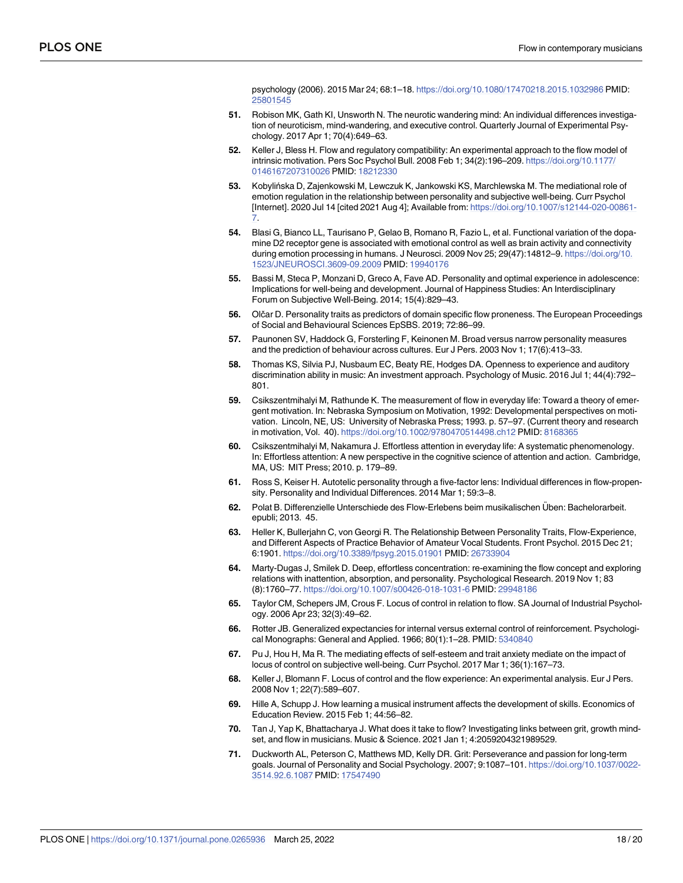psychology (2006). 2015 Mar 24; 68:1–18. <https://doi.org/10.1080/17470218.2015.1032986> PMID: [25801545](http://www.ncbi.nlm.nih.gov/pubmed/25801545)

- <span id="page-17-0"></span>**[51.](#page-2-0)** Robison MK, Gath KI, Unsworth N. The neurotic wandering mind: An individual differences investigation of neuroticism, mind-wandering, and executive control. Quarterly Journal of Experimental Psychology. 2017 Apr 1; 70(4):649–63.
- **[52.](#page-2-0)** Keller J, Bless H. Flow and regulatory compatibility: An experimental approach to the flow model of intrinsic motivation. Pers Soc Psychol Bull. 2008 Feb 1; 34(2):196–209. [https://doi.org/10.1177/](https://doi.org/10.1177/0146167207310026) [0146167207310026](https://doi.org/10.1177/0146167207310026) PMID: [18212330](http://www.ncbi.nlm.nih.gov/pubmed/18212330)
- **[53.](#page-2-0)** Kobylińska D, Zajenkowski M, Lewczuk K, Jankowski KS, Marchlewska M. The mediational role of emotion regulation in the relationship between personality and subjective well-being. Curr Psychol [Internet]. 2020 Jul 14 [cited 2021 Aug 4]; Available from: [https://doi.org/10.1007/s12144-020-00861-](https://doi.org/10.1007/s12144-020-00861-7) [7](https://doi.org/10.1007/s12144-020-00861-7).
- **[54.](#page-2-0)** Blasi G, Bianco LL, Taurisano P, Gelao B, Romano R, Fazio L, et al. Functional variation of the dopamine D2 receptor gene is associated with emotional control as well as brain activity and connectivity during emotion processing in humans. J Neurosci. 2009 Nov 25; 29(47):14812–9. [https://doi.org/10.](https://doi.org/10.1523/JNEUROSCI.3609-09.2009) [1523/JNEUROSCI.3609-09.2009](https://doi.org/10.1523/JNEUROSCI.3609-09.2009) PMID: [19940176](http://www.ncbi.nlm.nih.gov/pubmed/19940176)
- **[55.](#page-2-0)** Bassi M, Steca P, Monzani D, Greco A, Fave AD. Personality and optimal experience in adolescence: Implications for well-being and development. Journal of Happiness Studies: An Interdisciplinary Forum on Subjective Well-Being. 2014; 15(4):829–43.
- **[56.](#page-3-0)** Olčar D. Personality traits as predictors of domain specific flow proneness. The European Proceedings of Social and Behavioural Sciences EpSBS. 2019; 72:86–99.
- **[57.](#page-2-0)** Paunonen SV, Haddock G, Forsterling F, Keinonen M. Broad versus narrow personality measures and the prediction of behaviour across cultures. Eur J Pers. 2003 Nov 1; 17(6):413–33.
- **[58.](#page-2-0)** Thomas KS, Silvia PJ, Nusbaum EC, Beaty RE, Hodges DA. Openness to experience and auditory discrimination ability in music: An investment approach. Psychology of Music. 2016 Jul 1; 44(4):792– 801.
- **[59.](#page-2-0)** Csikszentmihalyi M, Rathunde K. The measurement of flow in everyday life: Toward a theory of emergent motivation. In: Nebraska Symposium on Motivation, 1992: Developmental perspectives on motivation. Lincoln, NE, US: University of Nebraska Press; 1993. p. 57–97. (Current theory and research in motivation, Vol. 40). <https://doi.org/10.1002/9780470514498.ch12> PMID: [8168365](http://www.ncbi.nlm.nih.gov/pubmed/8168365)
- **[60.](#page-2-0)** Csikszentmihalyi M, Nakamura J. Effortless attention in everyday life: A systematic phenomenology. In: Effortless attention: A new perspective in the cognitive science of attention and action. Cambridge, MA, US: MIT Press; 2010. p. 179–89.
- **[61.](#page-3-0)** Ross S, Keiser H. Autotelic personality through a five-factor lens: Individual differences in flow-propensity. Personality and Individual Differences. 2014 Mar 1; 59:3–8.
- 62. Polat B. Differenzielle Unterschiede des Flow-Erlebens beim musikalischen Üben: Bachelorarbeit. epubli; 2013. 45.
- **63.** Heller K, Bullerjahn C, von Georgi R. The Relationship Between Personality Traits, Flow-Experience, and Different Aspects of Practice Behavior of Amateur Vocal Students. Front Psychol. 2015 Dec 21; 6:1901. <https://doi.org/10.3389/fpsyg.2015.01901> PMID: [26733904](http://www.ncbi.nlm.nih.gov/pubmed/26733904)
- **[64.](#page-3-0)** Marty-Dugas J, Smilek D. Deep, effortless concentration: re-examining the flow concept and exploring relations with inattention, absorption, and personality. Psychological Research. 2019 Nov 1; 83 (8):1760–77. <https://doi.org/10.1007/s00426-018-1031-6> PMID: [29948186](http://www.ncbi.nlm.nih.gov/pubmed/29948186)
- **[65.](#page-3-0)** Taylor CM, Schepers JM, Crous F. Locus of control in relation to flow. SA Journal of Industrial Psychology. 2006 Apr 23; 32(3):49–62.
- **[66.](#page-3-0)** Rotter JB. Generalized expectancies for internal versus external control of reinforcement. Psychological Monographs: General and Applied. 1966; 80(1):1–28. PMID: [5340840](http://www.ncbi.nlm.nih.gov/pubmed/5340840)
- **[67.](#page-3-0)** Pu J, Hou H, Ma R. The mediating effects of self-esteem and trait anxiety mediate on the impact of locus of control on subjective well-being. Curr Psychol. 2017 Mar 1; 36(1):167–73.
- **[68.](#page-6-0)** Keller J, Blomann F. Locus of control and the flow experience: An experimental analysis. Eur J Pers. 2008 Nov 1; 22(7):589–607.
- **[69.](#page-3-0)** Hille A, Schupp J. How learning a musical instrument affects the development of skills. Economics of Education Review. 2015 Feb 1; 44:56–82.
- **[70.](#page-3-0)** Tan J, Yap K, Bhattacharya J. What does it take to flow? Investigating links between grit, growth mindset, and flow in musicians. Music & Science. 2021 Jan 1; 4:2059204321989529.
- **[71.](#page-6-0)** Duckworth AL, Peterson C, Matthews MD, Kelly DR. Grit: Perseverance and passion for long-term goals. Journal of Personality and Social Psychology. 2007; 9:1087–101. [https://doi.org/10.1037/0022-](https://doi.org/10.1037/0022-3514.92.6.1087) [3514.92.6.1087](https://doi.org/10.1037/0022-3514.92.6.1087) PMID: [17547490](http://www.ncbi.nlm.nih.gov/pubmed/17547490)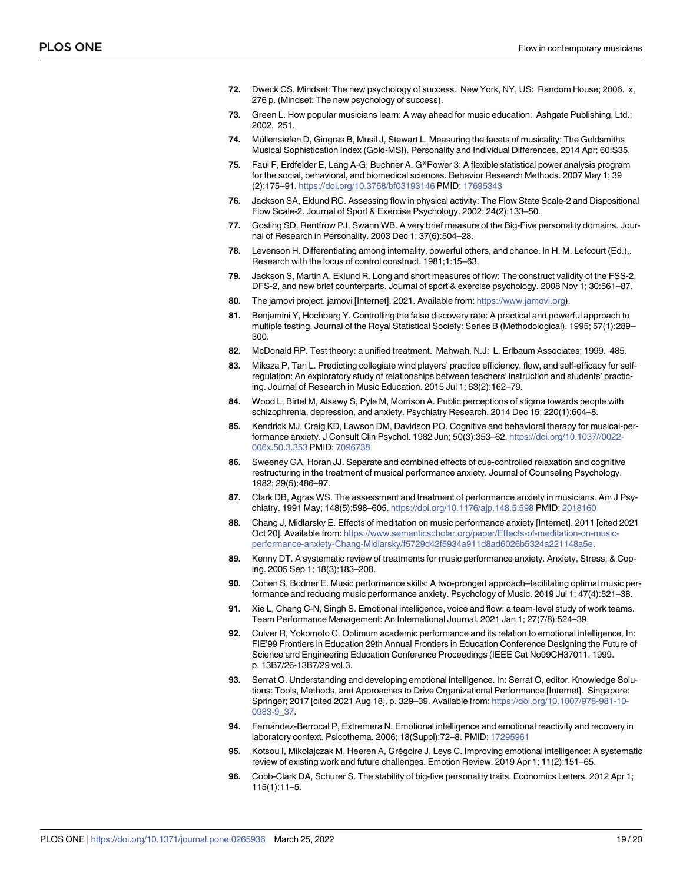- <span id="page-18-0"></span>**[72.](#page-3-0)** Dweck CS. Mindset: The new psychology of success. New York, NY, US: Random House; 2006. x, 276 p. (Mindset: The new psychology of success).
- **[73.](#page-3-0)** Green L. How popular musicians learn: A way ahead for music education. Ashgate Publishing, Ltd.; 2002. 251.
- [74.](#page-6-0) Müllensiefen D, Gingras B, Musil J, Stewart L. Measuring the facets of musicality: The Goldsmiths Musical Sophistication Index (Gold-MSI). Personality and Individual Differences. 2014 Apr; 60:S35.
- **[75.](#page-4-0)** Faul F, Erdfelder E, Lang A-G, Buchner A. G\*Power 3: A flexible statistical power analysis program for the social, behavioral, and biomedical sciences. Behavior Research Methods. 2007 May 1; 39 (2):175–91. <https://doi.org/10.3758/bf03193146> PMID: [17695343](http://www.ncbi.nlm.nih.gov/pubmed/17695343)
- **[76.](#page-13-0)** Jackson SA, Eklund RC. Assessing flow in physical activity: The Flow State Scale-2 and Dispositional Flow Scale-2. Journal of Sport & Exercise Psychology. 2002; 24(2):133–50.
- **[77.](#page-6-0)** Gosling SD, Rentfrow PJ, Swann WB. A very brief measure of the Big-Five personality domains. Journal of Research in Personality. 2003 Dec 1; 37(6):504–28.
- **[78.](#page-6-0)** Levenson H. Differentiating among internality, powerful others, and chance. In H. M. Lefcourt (Ed.),. Research with the locus of control construct. 1981;1:15–63.
- **[79.](#page-6-0)** Jackson S, Martin A, Eklund R. Long and short measures of flow: The construct validity of the FSS-2, DFS-2, and new brief counterparts. Journal of sport & exercise psychology. 2008 Nov 1; 30:561–87.
- **[80.](#page-7-0)** The jamovi project. jamovi [Internet]. 2021. Available from: [https://www.jamovi.org\)](https://www.jamovi.org).
- **[81.](#page-7-0)** Benjamini Y, Hochberg Y. Controlling the false discovery rate: A practical and powerful approach to multiple testing. Journal of the Royal Statistical Society: Series B (Methodological). 1995; 57(1):289– 300.
- **[82.](#page-8-0)** McDonald RP. Test theory: a unified treatment. Mahwah, N.J: L. Erlbaum Associates; 1999. 485.
- **[83.](#page-12-0)** Miksza P, Tan L. Predicting collegiate wind players' practice efficiency, flow, and self-efficacy for selfregulation: An exploratory study of relationships between teachers' instruction and students' practicing. Journal of Research in Music Education. 2015 Jul 1; 63(2):162–79.
- **[84.](#page-12-0)** Wood L, Birtel M, Alsawy S, Pyle M, Morrison A. Public perceptions of stigma towards people with schizophrenia, depression, and anxiety. Psychiatry Research. 2014 Dec 15; 220(1):604–8.
- **[85.](#page-12-0)** Kendrick MJ, Craig KD, Lawson DM, Davidson PO. Cognitive and behavioral therapy for musical-performance anxiety. J Consult Clin Psychol. 1982 Jun; 50(3):353–62. [https://doi.org/10.1037//0022-](https://doi.org/10.1037//0022-006x.50.3.353) [006x.50.3.353](https://doi.org/10.1037//0022-006x.50.3.353) PMID: [7096738](http://www.ncbi.nlm.nih.gov/pubmed/7096738)
- **86.** Sweeney GA, Horan JJ. Separate and combined effects of cue-controlled relaxation and cognitive restructuring in the treatment of musical performance anxiety. Journal of Counseling Psychology. 1982; 29(5):486–97.
- **87.** Clark DB, Agras WS. The assessment and treatment of performance anxiety in musicians. Am J Psychiatry. 1991 May; 148(5):598–605. <https://doi.org/10.1176/ajp.148.5.598> PMID: [2018160](http://www.ncbi.nlm.nih.gov/pubmed/2018160)
- **[88.](#page-12-0)** Chang J, Midlarsky E. Effects of meditation on music performance anxiety [Internet]. 2011 [cited 2021 Oct 20]. Available from: [https://www.semanticscholar.org/paper/Effects-of-meditation-on-music](https://www.semanticscholar.org/paper/Effects-of-meditation-on-music-performance-anxiety-Chang-Midlarsky/f5729d42f5934a911d8ad6026b5324a221148a5e)[performance-anxiety-Chang-Midlarsky/f5729d42f5934a911d8ad6026b5324a221148a5e.](https://www.semanticscholar.org/paper/Effects-of-meditation-on-music-performance-anxiety-Chang-Midlarsky/f5729d42f5934a911d8ad6026b5324a221148a5e)
- **[89.](#page-14-0)** Kenny DT. A systematic review of treatments for music performance anxiety. Anxiety, Stress, & Coping. 2005 Sep 1; 18(3):183–208.
- **[90.](#page-13-0)** Cohen S, Bodner E. Music performance skills: A two-pronged approach–facilitating optimal music performance and reducing music performance anxiety. Psychology of Music. 2019 Jul 1; 47(4):521–38.
- **[91.](#page-12-0)** Xie L, Chang C-N, Singh S. Emotional intelligence, voice and flow: a team-level study of work teams. Team Performance Management: An International Journal. 2021 Jan 1; 27(7/8):524–39.
- **[92.](#page-12-0)** Culver R, Yokomoto C. Optimum academic performance and its relation to emotional intelligence. In: FIE'99 Frontiers in Education 29th Annual Frontiers in Education Conference Designing the Future of Science and Engineering Education Conference Proceedings (IEEE Cat No99CH37011. 1999. p. 13B7/26-13B7/29 vol.3.
- **[93.](#page-12-0)** Serrat O. Understanding and developing emotional intelligence. In: Serrat O, editor. Knowledge Solutions: Tools, Methods, and Approaches to Drive Organizational Performance [Internet]. Singapore: Springer; 2017 [cited 2021 Aug 18]. p. 329–39. Available from: [https://doi.org/10.1007/978-981-10-](https://doi.org/10.1007/978-981-10-0983-9_37) [0983-9\\_37.](https://doi.org/10.1007/978-981-10-0983-9_37)
- **[94.](#page-12-0)** Fernández-Berrocal P, Extremera N. Emotional intelligence and emotional reactivity and recovery in laboratory context. Psicothema. 2006; 18(Suppl):72–8. PMID: [17295961](http://www.ncbi.nlm.nih.gov/pubmed/17295961)
- **[95.](#page-12-0)** Kotsou I, Mikolajczak M, Heeren A, Grégoire J, Leys C. Improving emotional intelligence: A systematic review of existing work and future challenges. Emotion Review. 2019 Apr 1; 11(2):151–65.
- **[96.](#page-12-0)** Cobb-Clark DA, Schurer S. The stability of big-five personality traits. Economics Letters. 2012 Apr 1; 115(1):11–5.